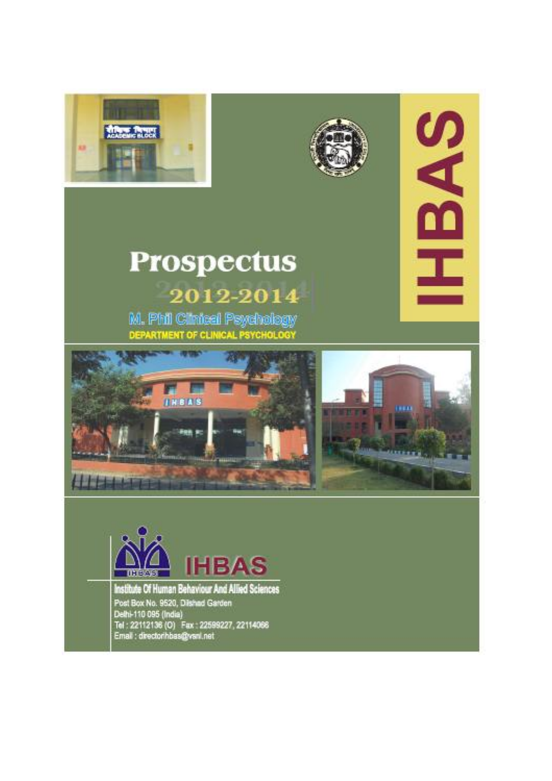



# **Prospectus** 2012-2014

M. Phil Cimical Psychology DEPARTMENT OF CLINICAL PSYCHOLOGY





**SAS** 

I



Institute Of Human Behaviour And Allied Sciences Post Box No. 9520, Dishad Garden<br>Delhi-110 095 (India)<br>Tel : 22112136 (O) Fax - 22599227, 22114066<br>Email : directorihbas@ysnl.net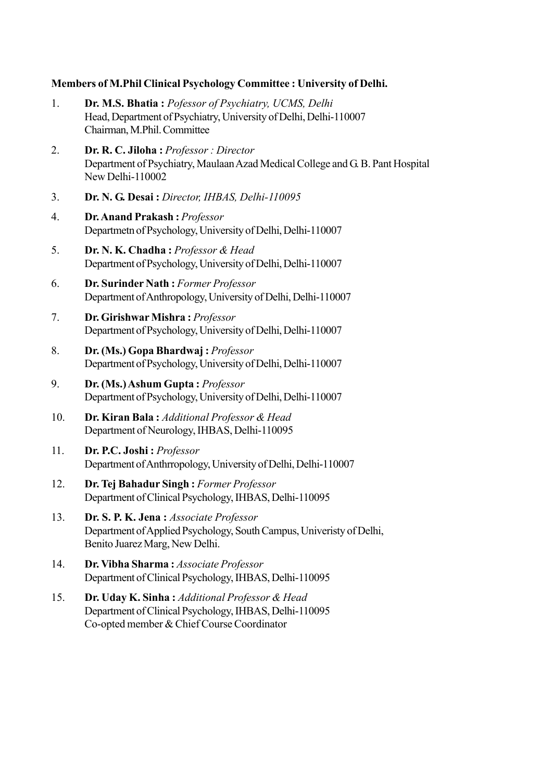# Members of M.Phil Clinical Psychology Committee : University of Delhi.

| 1.  | Dr. M.S. Bhatia: Pofessor of Psychiatry, UCMS, Delhi<br>Head, Department of Psychiatry, University of Delhi, Delhi-110007<br>Chairman, M.Phil. Committee |
|-----|----------------------------------------------------------------------------------------------------------------------------------------------------------|
| 2.  | Dr. R. C. Jiloha: Professor: Director<br>Department of Psychiatry, Maulaan Azad Medical College and G. B. Pant Hospital<br>New Delhi-110002              |
| 3.  | Dr. N. G. Desai : Director, IHBAS, Delhi-110095                                                                                                          |
| 4.  | Dr. Anand Prakash: Professor<br>Departmetn of Psychology, University of Delhi, Delhi-110007                                                              |
| 5.  | Dr. N. K. Chadha: Professor & Head<br>Department of Psychology, University of Delhi, Delhi-110007                                                        |
| 6.  | Dr. Surinder Nath: Former Professor<br>Department of Anthropology, University of Delhi, Delhi-110007                                                     |
| 7.  | Dr. Girishwar Mishra: Professor<br>Department of Psychology, University of Delhi, Delhi-110007                                                           |
| 8.  | Dr. (Ms.) Gopa Bhardwaj: Professor<br>Department of Psychology, University of Delhi, Delhi-110007                                                        |
| 9.  | Dr. (Ms.) Ashum Gupta: Professor<br>Department of Psychology, University of Delhi, Delhi-110007                                                          |
| 10. | Dr. Kiran Bala: Additional Professor & Head<br>Department of Neurology, IHBAS, Delhi-110095                                                              |
| 11. | Dr. P.C. Joshi: Professor<br>Department of Anthropology, University of Delhi, Delhi-110007                                                               |
| 12. | Dr. Tej Bahadur Singh: Former Professor<br>Department of Clinical Psychology, IHBAS, Delhi-110095                                                        |
| 13. | Dr. S. P. K. Jena : Associate Professor<br>Department of Applied Psychology, South Campus, Univeristy of Delhi,<br>Benito Juarez Marg, New Delhi.        |
| 14. | Dr. Vibha Sharma: Associate Professor<br>Department of Clinical Psychology, IHBAS, Delhi-110095                                                          |
| 15. | Dr. Uday K. Sinha: Additional Professor & Head<br>Department of Clinical Psychology, IHBAS, Delhi-110095<br>Co-opted member & Chief Course Coordinator   |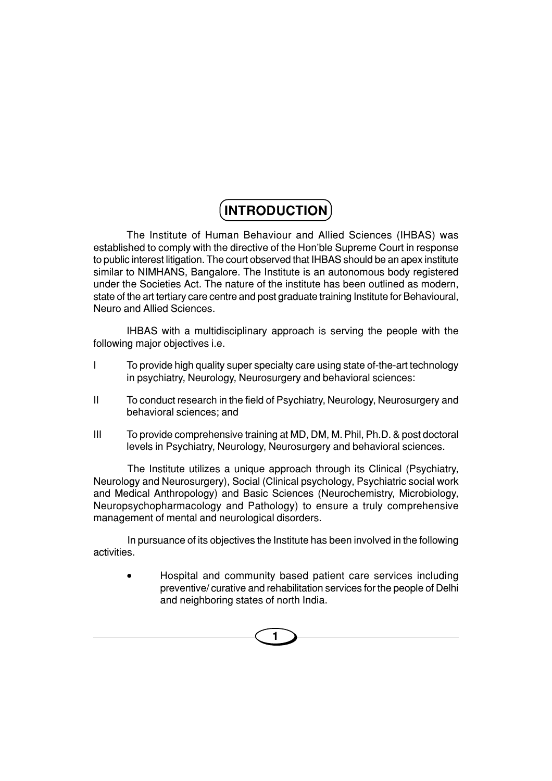# **INTRODUCTION**

The Institute of Human Behaviour and Allied Sciences (IHBAS) was established to comply with the directive of the Hon'ble Supreme Court in response to public interest litigation. The court observed that IHBAS should be an apex institute similar to NIMHANS, Bangalore. The Institute is an autonomous body registered under the Societies Act. The nature of the institute has been outlined as modern, state of the art tertiary care centre and post graduate training Institute for Behavioural, Neuro and Allied Sciences.

IHBAS with a multidisciplinary approach is serving the people with the following major objectives i.e.

- I To provide high quality super specialty care using state of-the-art technology in psychiatry, Neurology, Neurosurgery and behavioral sciences:
- II To conduct research in the field of Psychiatry, Neurology, Neurosurgery and behavioral sciences; and
- III To provide comprehensive training at MD, DM, M. Phil, Ph.D. & post doctoral levels in Psychiatry, Neurology, Neurosurgery and behavioral sciences.

The Institute utilizes a unique approach through its Clinical (Psychiatry, Neurology and Neurosurgery), Social (Clinical psychology, Psychiatric social work and Medical Anthropology) and Basic Sciences (Neurochemistry, Microbiology, Neuropsychopharmacology and Pathology) to ensure a truly comprehensive management of mental and neurological disorders.

In pursuance of its objectives the Institute has been involved in the following activities.

• Hospital and community based patient care services including preventive/ curative and rehabilitation services for the people of Delhi and neighboring states of north India.

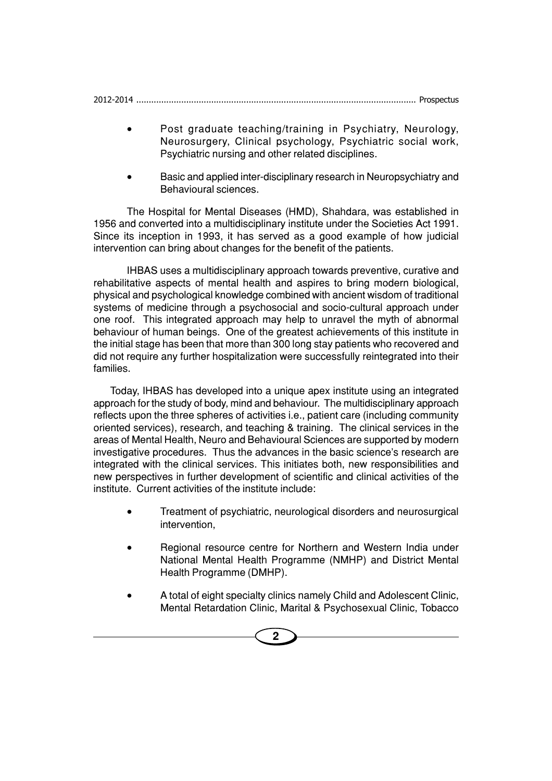| 2012-2014 |  |
|-----------|--|
|           |  |

- Post graduate teaching/training in Psychiatry, Neurology, Neurosurgery, Clinical psychology, Psychiatric social work, Psychiatric nursing and other related disciplines.
- Basic and applied inter-disciplinary research in Neuropsychiatry and Behavioural sciences.

The Hospital for Mental Diseases (HMD), Shahdara, was established in 1956 and converted into a multidisciplinary institute under the Societies Act 1991. Since its inception in 1993, it has served as a good example of how judicial intervention can bring about changes for the benefit of the patients.

IHBAS uses a multidisciplinary approach towards preventive, curative and rehabilitative aspects of mental health and aspires to bring modern biological, physical and psychological knowledge combined with ancient wisdom of traditional systems of medicine through a psychosocial and socio-cultural approach under one roof. This integrated approach may help to unravel the myth of abnormal behaviour of human beings. One of the greatest achievements of this institute in the initial stage has been that more than 300 long stay patients who recovered and did not require any further hospitalization were successfully reintegrated into their families.

Today, IHBAS has developed into a unique apex institute using an integrated approach for the study of body, mind and behaviour. The multidisciplinary approach reflects upon the three spheres of activities i.e., patient care (including community oriented services), research, and teaching & training. The clinical services in the areas of Mental Health, Neuro and Behavioural Sciences are supported by modern investigative procedures. Thus the advances in the basic science's research are integrated with the clinical services. This initiates both, new responsibilities and new perspectives in further development of scientific and clinical activities of the institute. Current activities of the institute include:

- Treatment of psychiatric, neurological disorders and neurosurgical intervention,
- Regional resource centre for Northern and Western India under National Mental Health Programme (NMHP) and District Mental Health Programme (DMHP).
- A total of eight specialty clinics namely Child and Adolescent Clinic, Mental Retardation Clinic, Marital & Psychosexual Clinic, Tobacco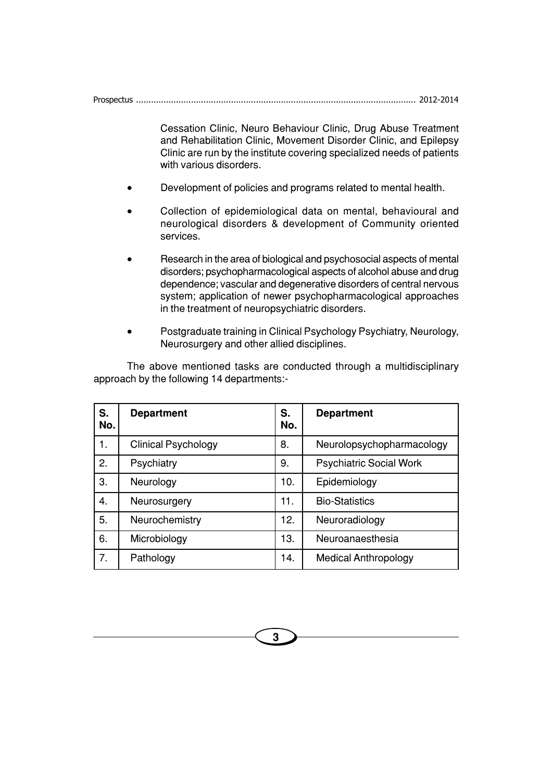Cessation Clinic, Neuro Behaviour Clinic, Drug Abuse Treatment and Rehabilitation Clinic, Movement Disorder Clinic, and Epilepsy Clinic are run by the institute covering specialized needs of patients with various disorders.

- Development of policies and programs related to mental health.
- Collection of epidemiological data on mental, behavioural and neurological disorders & development of Community oriented services.
- Research in the area of biological and psychosocial aspects of mental disorders; psychopharmacological aspects of alcohol abuse and drug dependence; vascular and degenerative disorders of central nervous system; application of newer psychopharmacological approaches in the treatment of neuropsychiatric disorders.
- Postgraduate training in Clinical Psychology Psychiatry, Neurology, Neurosurgery and other allied disciplines.

The above mentioned tasks are conducted through a multidisciplinary approach by the following 14 departments:-

| S.<br>No. | <b>Department</b>          | S.<br>No. | <b>Department</b>              |
|-----------|----------------------------|-----------|--------------------------------|
| 1.        | <b>Clinical Psychology</b> | 8.        | Neurolopsychopharmacology      |
| 2.        | Psychiatry                 | 9.        | <b>Psychiatric Social Work</b> |
| 3.        | Neurology                  | 10.       | Epidemiology                   |
| 4.        | Neurosurgery               | 11.       | <b>Bio-Statistics</b>          |
| 5.        | Neurochemistry             | 12.       | Neuroradiology                 |
| 6.        | Microbiology               | 13.       | Neuroanaesthesia               |
| 7.        | Pathology                  | 14.       | <b>Medical Anthropology</b>    |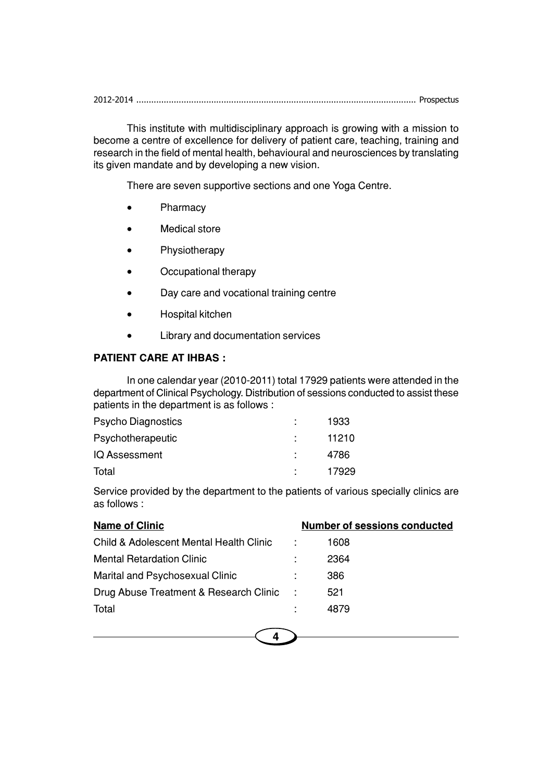2012-2014 ................................................................................................................ Prospectus

This institute with multidisciplinary approach is growing with a mission to become a centre of excellence for delivery of patient care, teaching, training and research in the field of mental health, behavioural and neurosciences by translating its given mandate and by developing a new vision.

There are seven supportive sections and one Yoga Centre.

- Pharmacy
- Medical store
- Physiotherapy
- Occupational therapy
- Day care and vocational training centre
- Hospital kitchen
- Library and documentation services

#### **PATIENT CARE AT IHBAS :**

In one calendar year (2010-2011) total 17929 patients were attended in the department of Clinical Psychology. Distribution of sessions conducted to assist these patients in the department is as follows :

| Psycho Diagnostics | 1933  |
|--------------------|-------|
| Psychotherapeutic  | 11210 |
| IQ Assessment      | 4786  |
| Total              | 17929 |

Service provided by the department to the patients of various specially clinics are as follows :

| <b>Name of Clinic</b>                   |           | <b>Number of sessions conducted</b> |
|-----------------------------------------|-----------|-------------------------------------|
| Child & Adolescent Mental Health Clinic |           | 1608                                |
| <b>Mental Retardation Clinic</b>        |           | 2364                                |
| Marital and Psychosexual Clinic         |           | 386                                 |
| Drug Abuse Treatment & Research Clinic  | $\sim$ 1. | 521                                 |
| Total                                   |           | 4879                                |
|                                         |           |                                     |

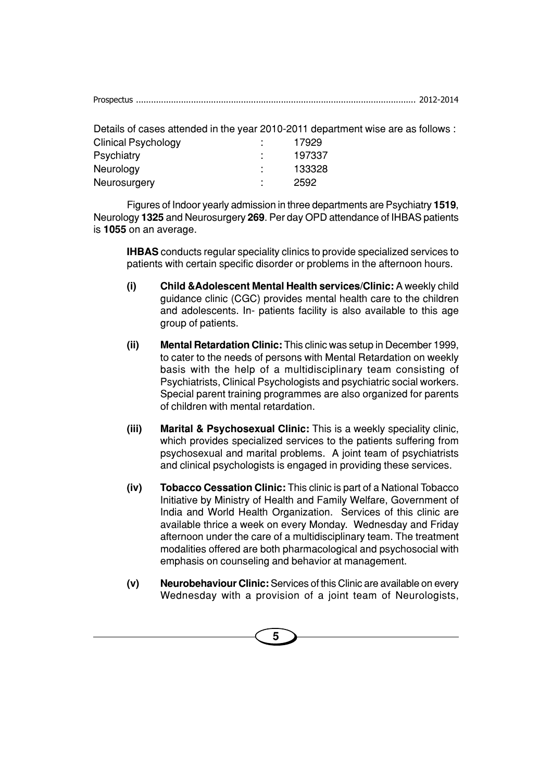Details of cases attended in the year 2010-2011 department wise are as follows :

| <b>Clinical Psychology</b> | ٠<br>٠              | 17929  |
|----------------------------|---------------------|--------|
| <b>Psychiatry</b>          | ٠                   | 197337 |
| Neurology                  | ٠<br>$\blacksquare$ | 133328 |
| Neurosurgery               | ٠                   | 2592   |

Figures of Indoor yearly admission in three departments are Psychiatry **1519**, Neurology **1325** and Neurosurgery **269**. Per day OPD attendance of IHBAS patients is **1055** on an average.

**IHBAS** conducts regular speciality clinics to provide specialized services to patients with certain specific disorder or problems in the afternoon hours.

- **(i) Child &Adolescent Mental Health services/Clinic:** A weekly child guidance clinic (CGC) provides mental health care to the children and adolescents. In- patients facility is also available to this age group of patients.
- **(ii) Mental Retardation Clinic:** This clinic was setup in December 1999, to cater to the needs of persons with Mental Retardation on weekly basis with the help of a multidisciplinary team consisting of Psychiatrists, Clinical Psychologists and psychiatric social workers. Special parent training programmes are also organized for parents of children with mental retardation.
- **(iii) Marital & Psychosexual Clinic:** This is a weekly speciality clinic, which provides specialized services to the patients suffering from psychosexual and marital problems. A joint team of psychiatrists and clinical psychologists is engaged in providing these services.
- **(iv) Tobacco Cessation Clinic:** This clinic is part of a National Tobacco Initiative by Ministry of Health and Family Welfare, Government of India and World Health Organization. Services of this clinic are available thrice a week on every Monday. Wednesday and Friday afternoon under the care of a multidisciplinary team. The treatment modalities offered are both pharmacological and psychosocial with emphasis on counseling and behavior at management.
- **(v) Neurobehaviour Clinic:** Services of this Clinic are available on every Wednesday with a provision of a joint team of Neurologists,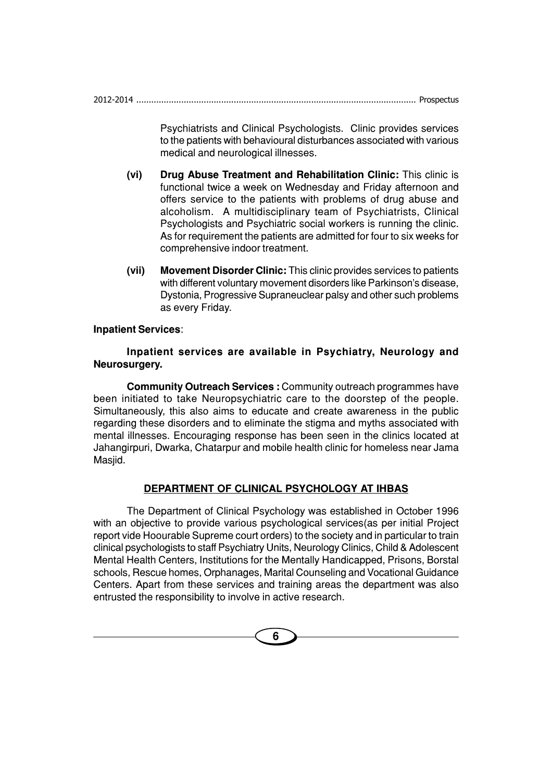2012-2014 ................................................................................................................ Prospectus

Psychiatrists and Clinical Psychologists. Clinic provides services to the patients with behavioural disturbances associated with various medical and neurological illnesses.

- **(vi) Drug Abuse Treatment and Rehabilitation Clinic:** This clinic is functional twice a week on Wednesday and Friday afternoon and offers service to the patients with problems of drug abuse and alcoholism. A multidisciplinary team of Psychiatrists, Clinical Psychologists and Psychiatric social workers is running the clinic. As for requirement the patients are admitted for four to six weeks for comprehensive indoor treatment.
- **(vii) Movement Disorder Clinic:** This clinic provides services to patients with different voluntary movement disorders like Parkinson's disease, Dystonia, Progressive Supraneuclear palsy and other such problems as every Friday.

#### **Inpatient Services**:

#### **Inpatient services are available in Psychiatry, Neurology and Neurosurgery.**

**Community Outreach Services :** Community outreach programmes have been initiated to take Neuropsychiatric care to the doorstep of the people. Simultaneously, this also aims to educate and create awareness in the public regarding these disorders and to eliminate the stigma and myths associated with mental illnesses. Encouraging response has been seen in the clinics located at Jahangirpuri, Dwarka, Chatarpur and mobile health clinic for homeless near Jama Masjid.

#### **DEPARTMENT OF CLINICAL PSYCHOLOGY AT IHBAS**

The Department of Clinical Psychology was established in October 1996 with an objective to provide various psychological services(as per initial Project report vide Hoourable Supreme court orders) to the society and in particular to train clinical psychologists to staff Psychiatry Units, Neurology Clinics, Child & Adolescent Mental Health Centers, Institutions for the Mentally Handicapped, Prisons, Borstal schools, Rescue homes, Orphanages, Marital Counseling and Vocational Guidance Centers. Apart from these services and training areas the department was also entrusted the responsibility to involve in active research.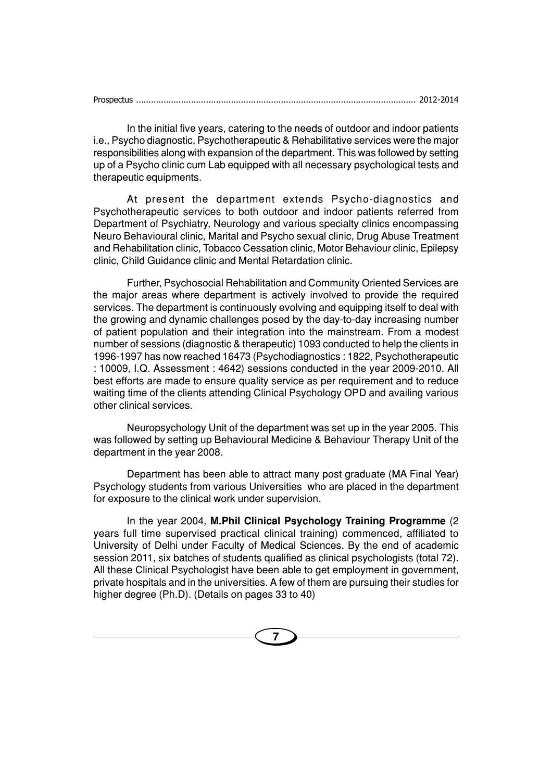|--|--|

In the initial five years, catering to the needs of outdoor and indoor patients i.e., Psycho diagnostic, Psychotherapeutic & Rehabilitative services were the major responsibilities along with expansion of the department. This was followed by setting up of a Psycho clinic cum Lab equipped with all necessary psychological tests and therapeutic equipments.

At present the department extends Psycho-diagnostics and Psychotherapeutic services to both outdoor and indoor patients referred from Department of Psychiatry, Neurology and various specialty clinics encompassing Neuro Behavioural clinic, Marital and Psycho sexual clinic, Drug Abuse Treatment and Rehabilitation clinic, Tobacco Cessation clinic, Motor Behaviour clinic, Epilepsy clinic, Child Guidance clinic and Mental Retardation clinic.

Further, Psychosocial Rehabilitation and Community Oriented Services are the major areas where department is actively involved to provide the required services. The department is continuously evolving and equipping itself to deal with the growing and dynamic challenges posed by the day-to-day increasing number of patient population and their integration into the mainstream. From a modest number of sessions (diagnostic & therapeutic) 1093 conducted to help the clients in 1996-1997 has now reached 16473 (Psychodiagnostics : 1822, Psychotherapeutic : 10009, I.Q. Assessment : 4642) sessions conducted in the year 2009-2010. All best efforts are made to ensure quality service as per requirement and to reduce waiting time of the clients attending Clinical Psychology OPD and availing various other clinical services.

Neuropsychology Unit of the department was set up in the year 2005. This was followed by setting up Behavioural Medicine & Behaviour Therapy Unit of the department in the year 2008.

Department has been able to attract many post graduate (MA Final Year) Psychology students from various Universities who are placed in the department for exposure to the clinical work under supervision.

In the year 2004, **M.Phil Clinical Psychology Training Programme** (2 years full time supervised practical clinical training) commenced, affiliated to University of Delhi under Faculty of Medical Sciences. By the end of academic session 2011, six batches of students qualified as clinical psychologists (total 72). All these Clinical Psychologist have been able to get employment in government, private hospitals and in the universities. A few of them are pursuing their studies for higher degree (Ph.D). (Details on pages 33 to 40)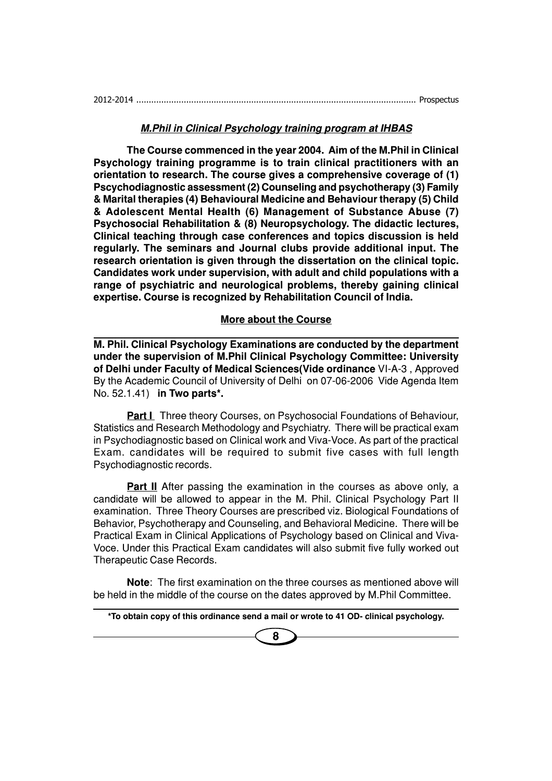#### **M.Phil in Clinical Psychology training program at IHBAS**

**The Course commenced in the year 2004. Aim of the M.Phil in Clinical Psychology training programme is to train clinical practitioners with an orientation to research. The course gives a comprehensive coverage of (1) Pscychodiagnostic assessment (2) Counseling and psychotherapy (3) Family & Marital therapies (4) Behavioural Medicine and Behaviour therapy (5) Child & Adolescent Mental Health (6) Management of Substance Abuse (7) Psychosocial Rehabilitation & (8) Neuropsychology. The didactic lectures, Clinical teaching through case conferences and topics discussion is held regularly. The seminars and Journal clubs provide additional input. The research orientation is given through the dissertation on the clinical topic. Candidates work under supervision, with adult and child populations with a range of psychiatric and neurological problems, thereby gaining clinical expertise. Course is recognized by Rehabilitation Council of India.**

#### **More about the Course**

**M. Phil. Clinical Psychology Examinations are conducted by the department under the supervision of M.Phil Clinical Psychology Committee: University of Delhi under Faculty of Medical Sciences(Vide ordinance** VI-A-3 , Approved By the Academic Council of University of Delhi on 07-06-2006 Vide Agenda Item No. 52.1.41) **in Two parts\*.**

**Part I** Three theory Courses, on Psychosocial Foundations of Behaviour, Statistics and Research Methodology and Psychiatry. There will be practical exam in Psychodiagnostic based on Clinical work and Viva-Voce. As part of the practical Exam. candidates will be required to submit five cases with full length Psychodiagnostic records.

**Part II** After passing the examination in the courses as above only, a candidate will be allowed to appear in the M. Phil. Clinical Psychology Part II examination. Three Theory Courses are prescribed viz. Biological Foundations of Behavior, Psychotherapy and Counseling, and Behavioral Medicine. There will be Practical Exam in Clinical Applications of Psychology based on Clinical and Viva-Voce. Under this Practical Exam candidates will also submit five fully worked out Therapeutic Case Records.

**Note**: The first examination on the three courses as mentioned above will be held in the middle of the course on the dates approved by M.Phil Committee.

**\*To obtain copy of this ordinance send a mail or wrote to 41 OD- clinical psychology.**

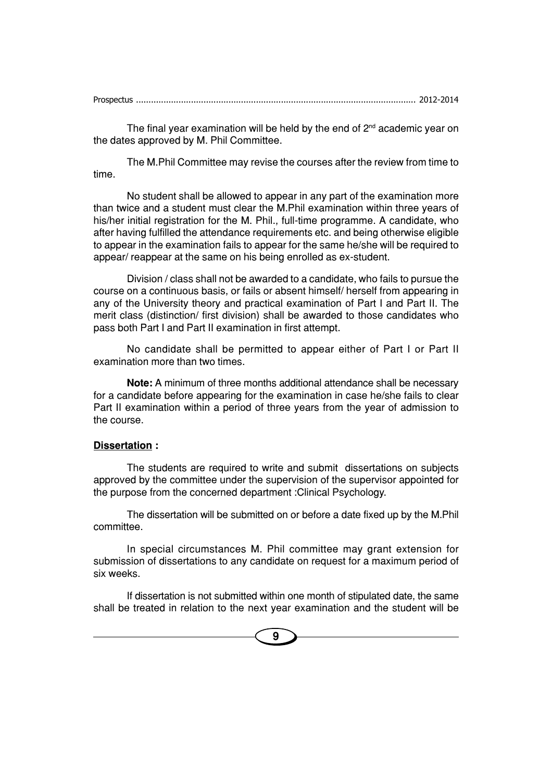| Prospectus |  |  |
|------------|--|--|
|            |  |  |

The final year examination will be held by the end of  $2<sup>nd</sup>$  academic year on the dates approved by M. Phil Committee.

The M.Phil Committee may revise the courses after the review from time to time.

No student shall be allowed to appear in any part of the examination more than twice and a student must clear the M.Phil examination within three years of his/her initial registration for the M. Phil., full-time programme. A candidate, who after having fulfilled the attendance requirements etc. and being otherwise eligible to appear in the examination fails to appear for the same he/she will be required to appear/ reappear at the same on his being enrolled as ex-student.

Division / class shall not be awarded to a candidate, who fails to pursue the course on a continuous basis, or fails or absent himself/ herself from appearing in any of the University theory and practical examination of Part I and Part II. The merit class (distinction/ first division) shall be awarded to those candidates who pass both Part I and Part II examination in first attempt.

No candidate shall be permitted to appear either of Part I or Part II examination more than two times.

**Note:** A minimum of three months additional attendance shall be necessary for a candidate before appearing for the examination in case he/she fails to clear Part II examination within a period of three years from the year of admission to the course.

#### **Dissertation :**

The students are required to write and submit dissertations on subjects approved by the committee under the supervision of the supervisor appointed for the purpose from the concerned department :Clinical Psychology.

The dissertation will be submitted on or before a date fixed up by the M.Phil committee.

In special circumstances M. Phil committee may grant extension for submission of dissertations to any candidate on request for a maximum period of six weeks.

If dissertation is not submitted within one month of stipulated date, the same shall be treated in relation to the next year examination and the student will be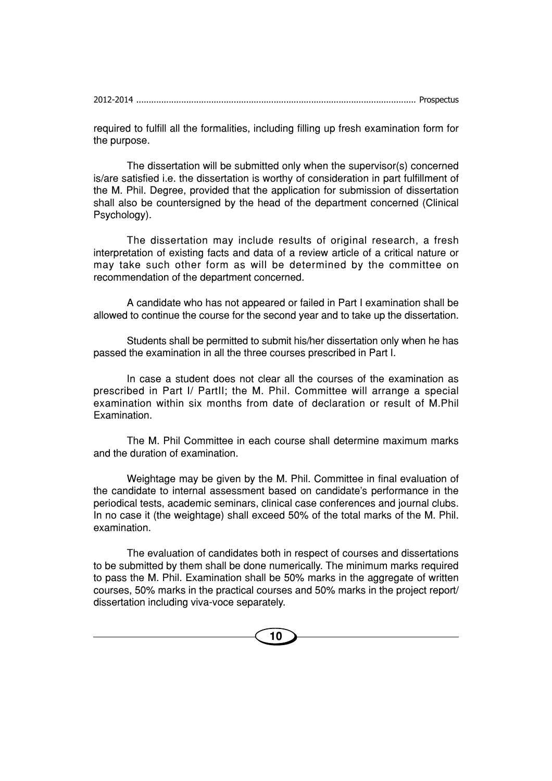required to fulfill all the formalities, including filling up fresh examination form for the purpose.

The dissertation will be submitted only when the supervisor(s) concerned is/are satisfied i.e. the dissertation is worthy of consideration in part fulfillment of the M. Phil. Degree, provided that the application for submission of dissertation shall also be countersigned by the head of the department concerned (Clinical Psychology).

The dissertation may include results of original research, a fresh interpretation of existing facts and data of a review article of a critical nature or may take such other form as will be determined by the committee on recommendation of the department concerned.

A candidate who has not appeared or failed in Part I examination shall be allowed to continue the course for the second year and to take up the dissertation.

Students shall be permitted to submit his/her dissertation only when he has passed the examination in all the three courses prescribed in Part I.

In case a student does not clear all the courses of the examination as prescribed in Part I/ PartII; the M. Phil. Committee will arrange a special examination within six months from date of declaration or result of M.Phil Examination.

The M. Phil Committee in each course shall determine maximum marks and the duration of examination.

Weightage may be given by the M. Phil. Committee in final evaluation of the candidate to internal assessment based on candidate's performance in the periodical tests, academic seminars, clinical case conferences and journal clubs. In no case it (the weightage) shall exceed 50% of the total marks of the M. Phil. examination.

The evaluation of candidates both in respect of courses and dissertations to be submitted by them shall be done numerically. The minimum marks required to pass the M. Phil. Examination shall be 50% marks in the aggregate of written courses, 50% marks in the practical courses and 50% marks in the project report/ dissertation including viva-voce separately.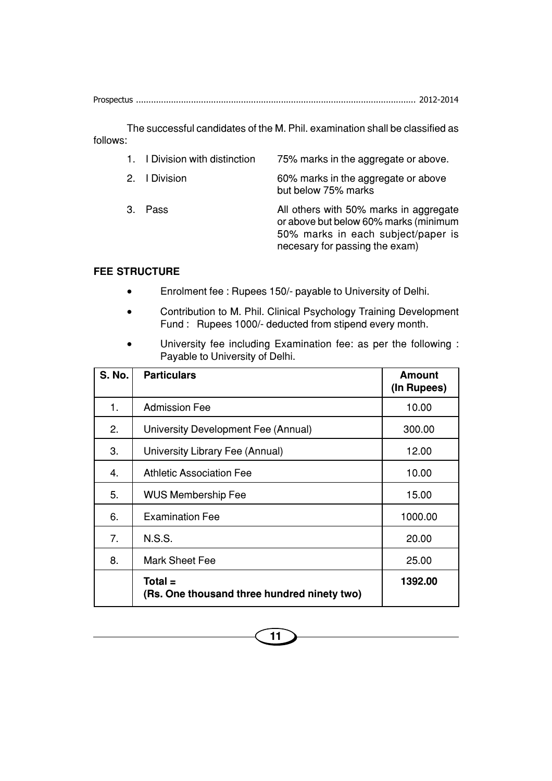The successful candidates of the M. Phil. examination shall be classified as follows:

- 1. I Division with distinction 75% marks in the aggregate or above.
- 2. I Division 60% marks in the aggregate or above but below 75% marks 3. Pass **All others with 50% marks in aggregate** or above but below 60% marks (minimum 50% marks in each subject/paper is necesary for passing the exam)

#### **FEE STRUCTURE**

- Enrolment fee : Rupees 150/- payable to University of Delhi.
- Contribution to M. Phil. Clinical Psychology Training Development Fund : Rupees 1000/- deducted from stipend every month.
- University fee including Examination fee: as per the following : Payable to University of Delhi.

| <b>S. No.</b> | <b>Particulars</b>                                       | <b>Amount</b><br>(In Rupees) |
|---------------|----------------------------------------------------------|------------------------------|
| 1.            | <b>Admission Fee</b>                                     | 10.00                        |
| 2.            | University Development Fee (Annual)                      | 300.00                       |
| 3.            | University Library Fee (Annual)                          | 12.00                        |
| 4.            | <b>Athletic Association Fee</b>                          | 10.00                        |
| 5.            | <b>WUS Membership Fee</b>                                | 15.00                        |
| 6.            | <b>Examination Fee</b>                                   | 1000.00                      |
| 7.            | <b>N.S.S.</b>                                            | 20.00                        |
| 8.            | <b>Mark Sheet Fee</b>                                    | 25.00                        |
|               | $Total =$<br>(Rs. One thousand three hundred ninety two) | 1392.00                      |

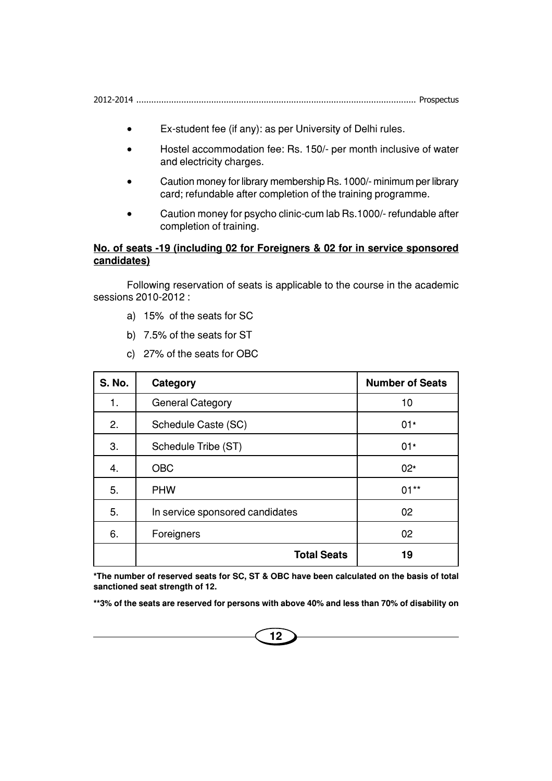2012-2014 ................................................................................................................ Prospectus

- Ex-student fee (if any): as per University of Delhi rules.
- Hostel accommodation fee: Rs. 150/- per month inclusive of water and electricity charges.
- Caution money for library membership Rs. 1000/- minimum per library card; refundable after completion of the training programme.
- Caution money for psycho clinic-cum lab Rs.1000/- refundable after completion of training.

#### **No. of seats -19 (including 02 for Foreigners & 02 for in service sponsored candidates)**

Following reservation of seats is applicable to the course in the academic sessions 2010-2012 :

- a) 15% of the seats for SC
- b) 7.5% of the seats for ST
- c) 27% of the seats for OBC

| <b>S. No.</b> | Category                        | <b>Number of Seats</b> |
|---------------|---------------------------------|------------------------|
| 1.            | <b>General Category</b>         | 10                     |
| 2.            | Schedule Caste (SC)             | $01*$                  |
| 3.            | Schedule Tribe (ST)             | $01*$                  |
| 4.            | <b>OBC</b>                      | $02*$                  |
| 5.            | <b>PHW</b>                      | $01**$                 |
| 5.            | In service sponsored candidates | 02                     |
| 6.            | Foreigners                      | 02                     |
|               | <b>Total Seats</b>              | 19                     |

**\*The number of reserved seats for SC, ST & OBC have been calculated on the basis of total sanctioned seat strength of 12.**

**\*\*3% of the seats are reserved for persons with above 40% and less than 70% of disability on**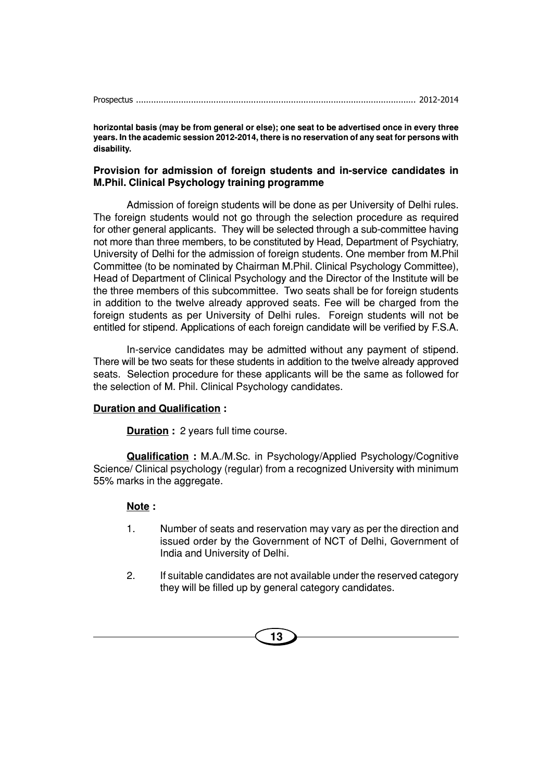**horizontal basis (may be from general or else); one seat to be advertised once in every three years. In the academic session 2012-2014, there is no reservation of any seat for persons with disability.**

#### **Provision for admission of foreign students and in-service candidates in M.Phil. Clinical Psychology training programme**

Admission of foreign students will be done as per University of Delhi rules. The foreign students would not go through the selection procedure as required for other general applicants. They will be selected through a sub-committee having not more than three members, to be constituted by Head, Department of Psychiatry, University of Delhi for the admission of foreign students. One member from M.Phil Committee (to be nominated by Chairman M.Phil. Clinical Psychology Committee), Head of Department of Clinical Psychology and the Director of the Institute will be the three members of this subcommittee. Two seats shall be for foreign students in addition to the twelve already approved seats. Fee will be charged from the foreign students as per University of Delhi rules. Foreign students will not be entitled for stipend. Applications of each foreign candidate will be verified by F.S.A.

In-service candidates may be admitted without any payment of stipend. There will be two seats for these students in addition to the twelve already approved seats. Selection procedure for these applicants will be the same as followed for the selection of M. Phil. Clinical Psychology candidates.

#### **Duration and Qualification :**

**Duration** : 2 years full time course.

**Qualification :** M.A./M.Sc. in Psychology/Applied Psychology/Cognitive Science/ Clinical psychology (regular) from a recognized University with minimum 55% marks in the aggregate.

#### **Note :**

- 1. Number of seats and reservation may vary as per the direction and issued order by the Government of NCT of Delhi, Government of India and University of Delhi.
- 2. If suitable candidates are not available under the reserved category they will be filled up by general category candidates.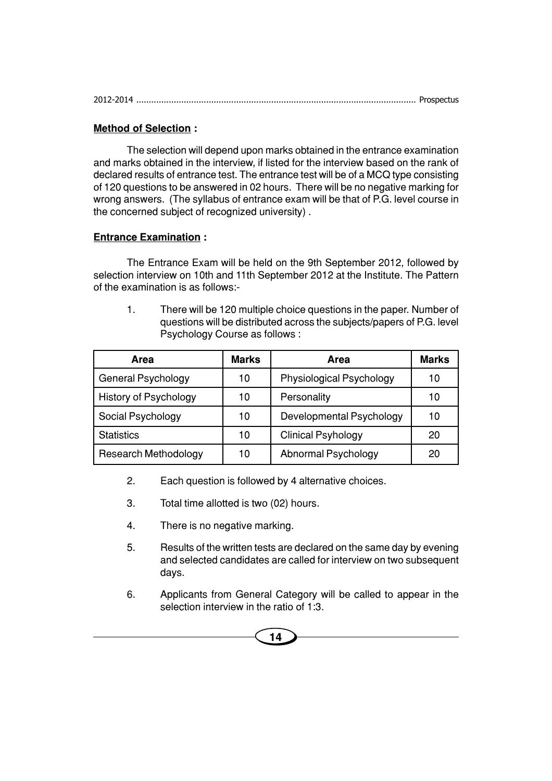#### **Method of Selection :**

The selection will depend upon marks obtained in the entrance examination and marks obtained in the interview, if listed for the interview based on the rank of declared results of entrance test. The entrance test will be of a MCQ type consisting of 120 questions to be answered in 02 hours. There will be no negative marking for wrong answers. (The syllabus of entrance exam will be that of P.G. level course in the concerned subject of recognized university) .

#### **Entrance Examination :**

The Entrance Exam will be held on the 9th September 2012, followed by selection interview on 10th and 11th September 2012 at the Institute. The Pattern of the examination is as follows:-

1. There will be 120 multiple choice questions in the paper. Number of questions will be distributed across the subjects/papers of P.G. level Psychology Course as follows :

| <b>Area</b>                  | <b>Marks</b> | Area                      | <b>Marks</b> |
|------------------------------|--------------|---------------------------|--------------|
| General Psychology           | 10           | Physiological Psychology  | 10           |
| <b>History of Psychology</b> | 10           | Personality               | 10           |
| Social Psychology            | 10           | Developmental Psychology  | 10           |
| <b>Statistics</b>            | 10           | <b>Clinical Psyhology</b> | 20           |
| <b>Research Methodology</b>  | 10           | Abnormal Psychology       | 20           |

- 2. Each question is followed by 4 alternative choices.
- 3. Total time allotted is two (02) hours.
- 4. There is no negative marking.
- 5. Results of the written tests are declared on the same day by evening and selected candidates are called for interview on two subsequent days.
- 6. Applicants from General Category will be called to appear in the selection interview in the ratio of 1:3.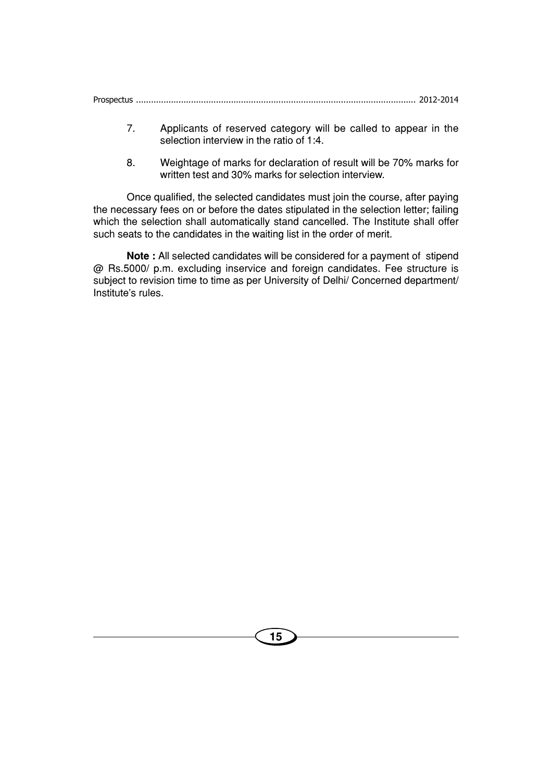- 7. Applicants of reserved category will be called to appear in the selection interview in the ratio of 1:4.
- 8. Weightage of marks for declaration of result will be 70% marks for written test and 30% marks for selection interview.

Once qualified, the selected candidates must join the course, after paying the necessary fees on or before the dates stipulated in the selection letter; failing which the selection shall automatically stand cancelled. The Institute shall offer such seats to the candidates in the waiting list in the order of merit.

**Note :** All selected candidates will be considered for a payment of stipend @ Rs.5000/ p.m. excluding inservice and foreign candidates. Fee structure is subject to revision time to time as per University of Delhi/ Concerned department/ Institute's rules.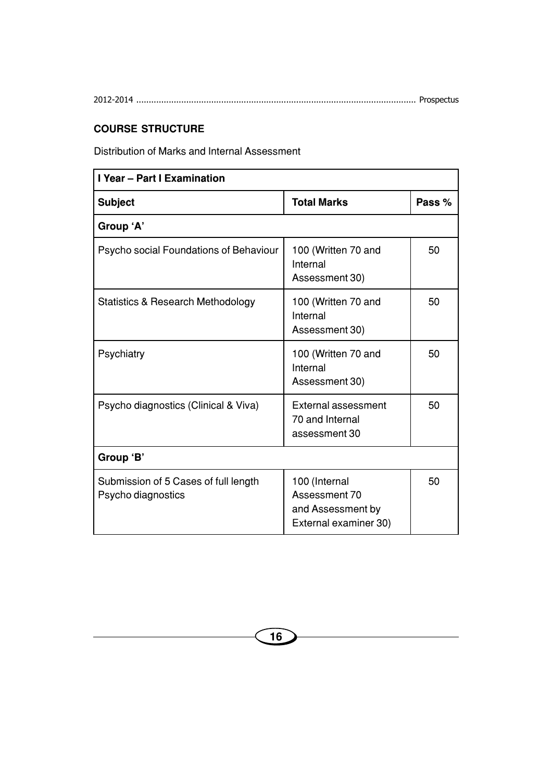# **COURSE STRUCTURE**

Distribution of Marks and Internal Assessment

| I Year - Part I Examination                                |                                                                              |        |
|------------------------------------------------------------|------------------------------------------------------------------------------|--------|
| <b>Subject</b>                                             | <b>Total Marks</b>                                                           | Pass % |
| Group 'A'                                                  |                                                                              |        |
| Psycho social Foundations of Behaviour                     | 100 (Written 70 and<br>Internal<br>Assessment 30)                            | 50     |
| <b>Statistics &amp; Research Methodology</b>               | 100 (Written 70 and<br>Internal<br>Assessment 30)                            | 50     |
| Psychiatry                                                 | 100 (Written 70 and<br>Internal<br>Assessment 30)                            | 50     |
| Psycho diagnostics (Clinical & Viva)                       | External assessment<br>70 and Internal<br>assessment 30                      | 50     |
| Group 'B'                                                  |                                                                              |        |
| Submission of 5 Cases of full length<br>Psycho diagnostics | 100 (Internal<br>Assessment 70<br>and Assessment by<br>External examiner 30) | 50     |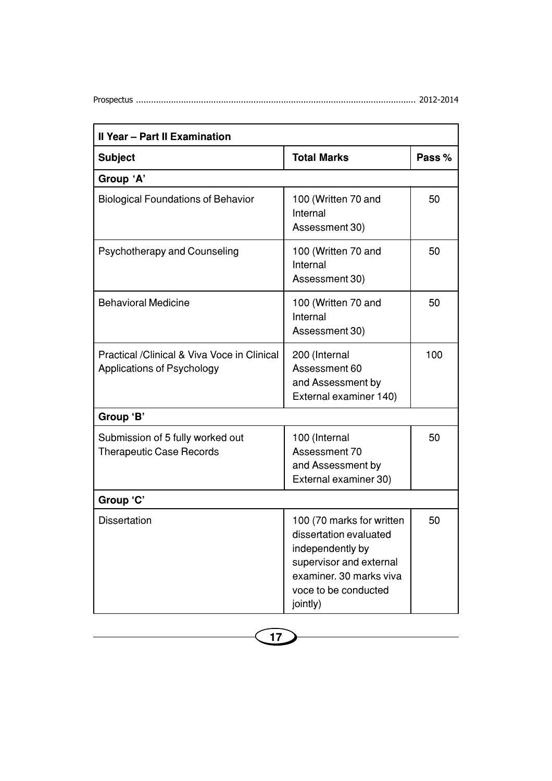| <b>Il Year - Part II Examination</b>                                      |                                                                                                                                                                   |        |
|---------------------------------------------------------------------------|-------------------------------------------------------------------------------------------------------------------------------------------------------------------|--------|
| <b>Subject</b>                                                            | <b>Total Marks</b>                                                                                                                                                | Pass % |
| Group 'A'                                                                 |                                                                                                                                                                   |        |
| <b>Biological Foundations of Behavior</b>                                 | 100 (Written 70 and<br>Internal<br>Assessment 30)                                                                                                                 | 50     |
| Psychotherapy and Counseling                                              | 100 (Written 70 and<br>Internal<br>Assessment 30)                                                                                                                 | 50     |
| <b>Behavioral Medicine</b>                                                | 100 (Written 70 and<br>Internal<br>Assessment 30)                                                                                                                 | 50     |
| Practical /Clinical & Viva Voce in Clinical<br>Applications of Psychology | 200 (Internal<br>Assessment 60<br>and Assessment by<br>External examiner 140)                                                                                     | 100    |
| Group 'B'                                                                 |                                                                                                                                                                   |        |
| Submission of 5 fully worked out<br><b>Therapeutic Case Records</b>       | 100 (Internal<br>Assessment 70<br>and Assessment by<br>External examiner 30)                                                                                      | 50     |
| Group 'C'                                                                 |                                                                                                                                                                   |        |
| <b>Dissertation</b>                                                       | 100 (70 marks for written<br>dissertation evaluated<br>independently by<br>supervisor and external<br>examiner, 30 marks viva<br>voce to be conducted<br>jointly) | 50     |

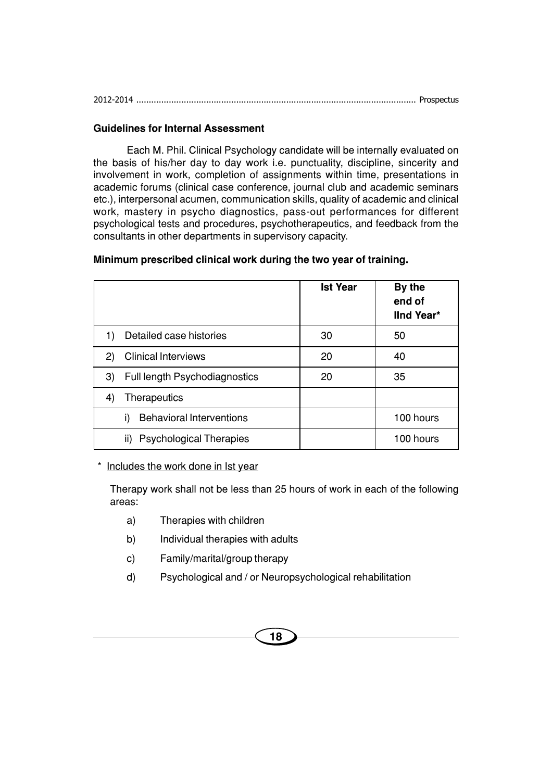#### **Guidelines for Internal Assessment**

Each M. Phil. Clinical Psychology candidate will be internally evaluated on the basis of his/her day to day work i.e. punctuality, discipline, sincerity and involvement in work, completion of assignments within time, presentations in academic forums (clinical case conference, journal club and academic seminars etc.), interpersonal acumen, communication skills, quality of academic and clinical work, mastery in psycho diagnostics, pass-out performances for different psychological tests and procedures, psychotherapeutics, and feedback from the consultants in other departments in supervisory capacity.

|                                            | <b>Ist Year</b> | By the<br>end of<br><b>IInd Year*</b> |
|--------------------------------------------|-----------------|---------------------------------------|
| Detailed case histories<br>1)              | 30              | 50                                    |
| <b>Clinical Interviews</b><br>$\mathbf{2}$ | 20              | 40                                    |
| Full length Psychodiagnostics<br>3)        | 20              | 35                                    |
| Therapeutics<br>$\left 4\right $           |                 |                                       |
| <b>Behavioral Interventions</b><br>i)      |                 | 100 hours                             |
| <b>Psychological Therapies</b><br>ii)      |                 | 100 hours                             |

#### **Minimum prescribed clinical work during the two year of training.**

\* Includes the work done in Ist year

Therapy work shall not be less than 25 hours of work in each of the following areas:

- a) Therapies with children
- b) Individual therapies with adults
- c) Family/marital/group therapy
- d) Psychological and / or Neuropsychological rehabilitation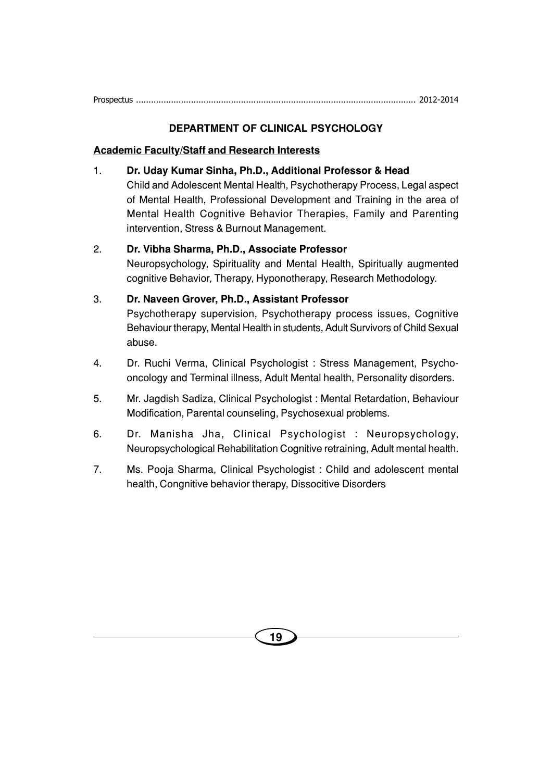#### **DEPARTMENT OF CLINICAL PSYCHOLOGY**

#### **Academic Faculty/Staff and Research Interests**

- 1. **Dr. Uday Kumar Sinha, Ph.D., Additional Professor & Head** Child and Adolescent Mental Health, Psychotherapy Process, Legal aspect of Mental Health, Professional Development and Training in the area of Mental Health Cognitive Behavior Therapies, Family and Parenting intervention, Stress & Burnout Management.
- 2. **Dr. Vibha Sharma, Ph.D., Associate Professor** Neuropsychology, Spirituality and Mental Health, Spiritually augmented cognitive Behavior, Therapy, Hyponotherapy, Research Methodology.
- 3. **Dr. Naveen Grover, Ph.D., Assistant Professor** Psychotherapy supervision, Psychotherapy process issues, Cognitive Behaviour therapy, Mental Health in students, Adult Survivors of Child Sexual abuse.
- 4. Dr. Ruchi Verma, Clinical Psychologist : Stress Management, Psychooncology and Terminal illness, Adult Mental health, Personality disorders.
- 5. Mr. Jagdish Sadiza, Clinical Psychologist : Mental Retardation, Behaviour Modification, Parental counseling, Psychosexual problems.
- 6. Dr. Manisha Jha, Clinical Psychologist : Neuropsychology, Neuropsychological Rehabilitation Cognitive retraining, Adult mental health.
- 7. Ms. Pooja Sharma, Clinical Psychologist : Child and adolescent mental health, Congnitive behavior therapy, Dissocitive Disorders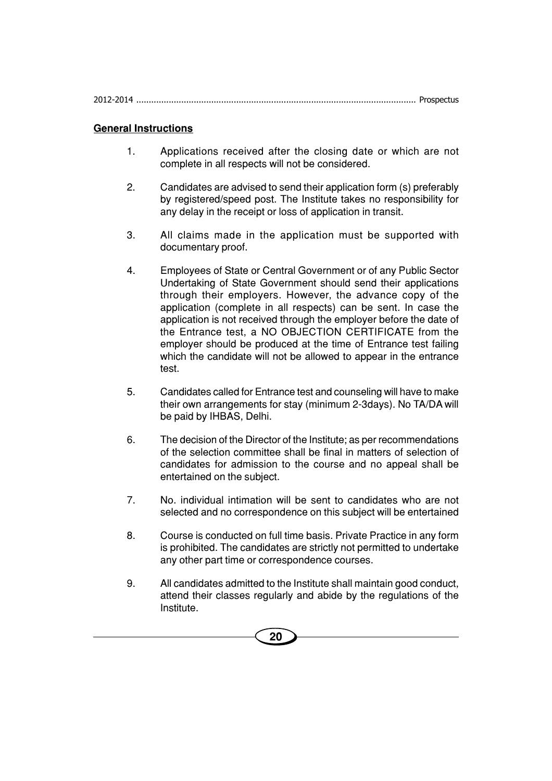| 2012-2014 |  |
|-----------|--|
|           |  |

#### **General Instructions**

- 1. Applications received after the closing date or which are not complete in all respects will not be considered.
- 2. Candidates are advised to send their application form (s) preferably by registered/speed post. The Institute takes no responsibility for any delay in the receipt or loss of application in transit.
- 3. All claims made in the application must be supported with documentary proof.
- 4. Employees of State or Central Government or of any Public Sector Undertaking of State Government should send their applications through their employers. However, the advance copy of the application (complete in all respects) can be sent. In case the application is not received through the employer before the date of the Entrance test, a NO OBJECTION CERTIFICATE from the employer should be produced at the time of Entrance test failing which the candidate will not be allowed to appear in the entrance test.
- 5. Candidates called for Entrance test and counseling will have to make their own arrangements for stay (minimum 2-3days). No TA/DA will be paid by IHBAS, Delhi.
- 6. The decision of the Director of the Institute; as per recommendations of the selection committee shall be final in matters of selection of candidates for admission to the course and no appeal shall be entertained on the subject.
- 7. No. individual intimation will be sent to candidates who are not selected and no correspondence on this subject will be entertained
- 8. Course is conducted on full time basis. Private Practice in any form is prohibited. The candidates are strictly not permitted to undertake any other part time or correspondence courses.
- 9. All candidates admitted to the Institute shall maintain good conduct, attend their classes regularly and abide by the regulations of the Institute.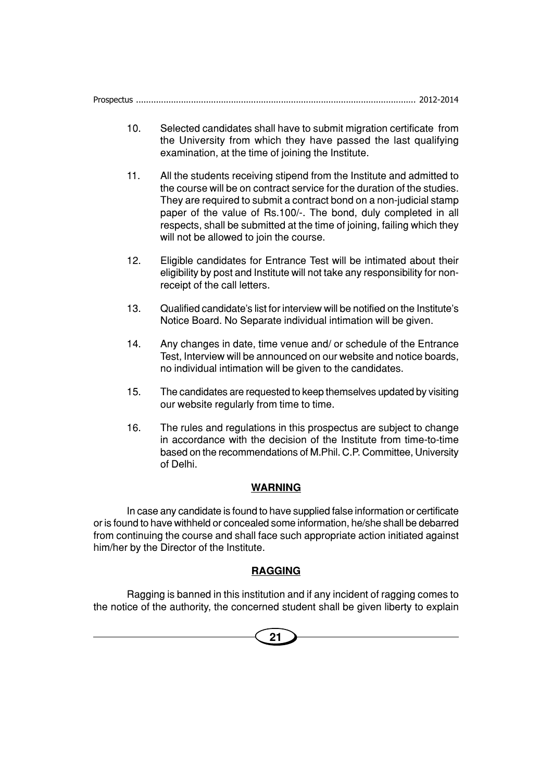- 10. Selected candidates shall have to submit migration certificate from the University from which they have passed the last qualifying examination, at the time of joining the Institute.
- 11. All the students receiving stipend from the Institute and admitted to the course will be on contract service for the duration of the studies. They are required to submit a contract bond on a non-judicial stamp paper of the value of Rs.100/-. The bond, duly completed in all respects, shall be submitted at the time of joining, failing which they will not be allowed to join the course.
- 12. Eligible candidates for Entrance Test will be intimated about their eligibility by post and Institute will not take any responsibility for nonreceipt of the call letters.
- 13. Qualified candidate's list for interview will be notified on the Institute's Notice Board. No Separate individual intimation will be given.
- 14. Any changes in date, time venue and/ or schedule of the Entrance Test, Interview will be announced on our website and notice boards, no individual intimation will be given to the candidates.
- 15. The candidates are requested to keep themselves updated by visiting our website regularly from time to time.
- 16. The rules and regulations in this prospectus are subject to change in accordance with the decision of the Institute from time-to-time based on the recommendations of M.Phil. C.P. Committee, University of Delhi.

#### **WARNING**

In case any candidate is found to have supplied false information or certificate or is found to have withheld or concealed some information, he/she shall be debarred from continuing the course and shall face such appropriate action initiated against him/her by the Director of the Institute.

#### **RAGGING**

Ragging is banned in this institution and if any incident of ragging comes to the notice of the authority, the concerned student shall be given liberty to explain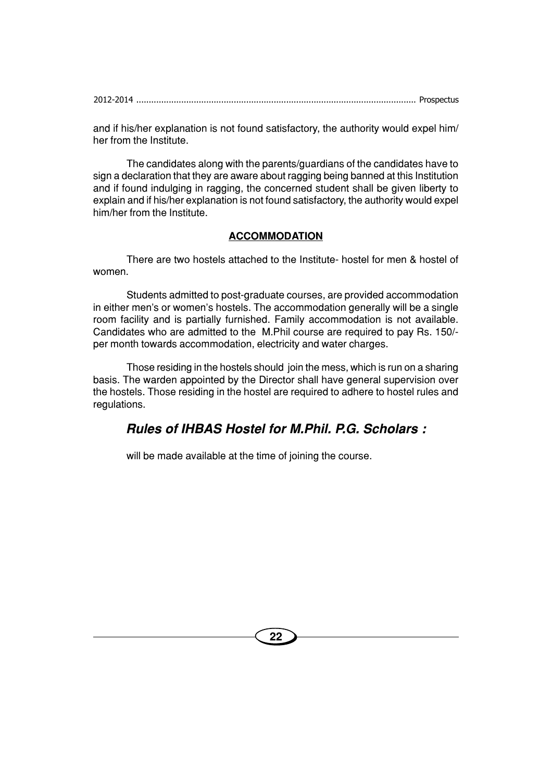|--|

and if his/her explanation is not found satisfactory, the authority would expel him/ her from the Institute.

The candidates along with the parents/guardians of the candidates have to sign a declaration that they are aware about ragging being banned at this Institution and if found indulging in ragging, the concerned student shall be given liberty to explain and if his/her explanation is not found satisfactory, the authority would expel him/her from the Institute.

#### **ACCOMMODATION**

There are two hostels attached to the Institute- hostel for men & hostel of women.

Students admitted to post-graduate courses, are provided accommodation in either men's or women's hostels. The accommodation generally will be a single room facility and is partially furnished. Family accommodation is not available. Candidates who are admitted to the M.Phil course are required to pay Rs. 150/ per month towards accommodation, electricity and water charges.

Those residing in the hostels should join the mess, which is run on a sharing basis. The warden appointed by the Director shall have general supervision over the hostels. Those residing in the hostel are required to adhere to hostel rules and regulations.

# **Rules of IHBAS Hostel for M.Phil. P.G. Scholars :**

will be made available at the time of joining the course.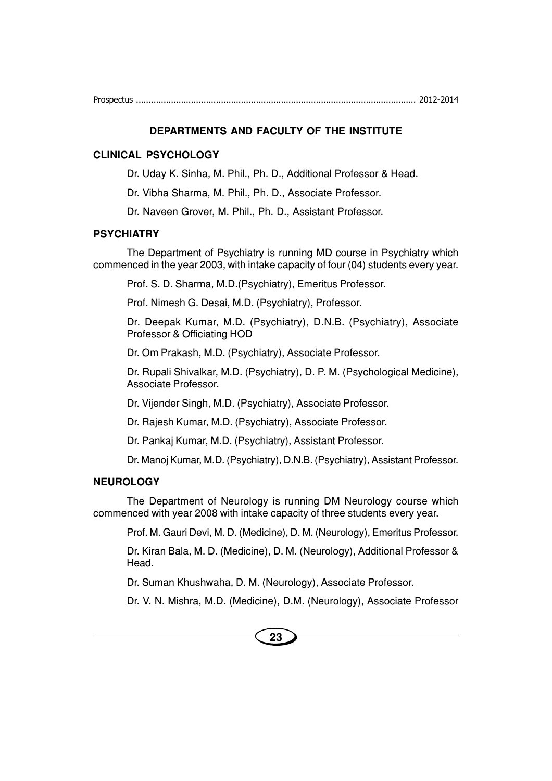#### **DEPARTMENTS AND FACULTY OF THE INSTITUTE**

#### **CLINICAL PSYCHOLOGY**

Dr. Uday K. Sinha, M. Phil., Ph. D., Additional Professor & Head.

Dr. Vibha Sharma, M. Phil., Ph. D., Associate Professor.

Dr. Naveen Grover, M. Phil., Ph. D., Assistant Professor.

#### **PSYCHIATRY**

The Department of Psychiatry is running MD course in Psychiatry which commenced in the year 2003, with intake capacity of four (04) students every year.

Prof. S. D. Sharma, M.D.(Psychiatry), Emeritus Professor.

Prof. Nimesh G. Desai, M.D. (Psychiatry), Professor.

Dr. Deepak Kumar, M.D. (Psychiatry), D.N.B. (Psychiatry), Associate Professor & Officiating HOD

Dr. Om Prakash, M.D. (Psychiatry), Associate Professor.

Dr. Rupali Shivalkar, M.D. (Psychiatry), D. P. M. (Psychological Medicine), Associate Professor.

Dr. Vijender Singh, M.D. (Psychiatry), Associate Professor.

Dr. Rajesh Kumar, M.D. (Psychiatry), Associate Professor.

Dr. Pankaj Kumar, M.D. (Psychiatry), Assistant Professor.

Dr. Manoj Kumar, M.D. (Psychiatry), D.N.B. (Psychiatry), Assistant Professor.

#### **NEUROLOGY**

The Department of Neurology is running DM Neurology course which commenced with year 2008 with intake capacity of three students every year.

Prof. M. Gauri Devi, M. D. (Medicine), D. M. (Neurology), Emeritus Professor.

Dr. Kiran Bala, M. D. (Medicine), D. M. (Neurology), Additional Professor & Head.

Dr. Suman Khushwaha, D. M. (Neurology), Associate Professor.

Dr. V. N. Mishra, M.D. (Medicine), D.M. (Neurology), Associate Professor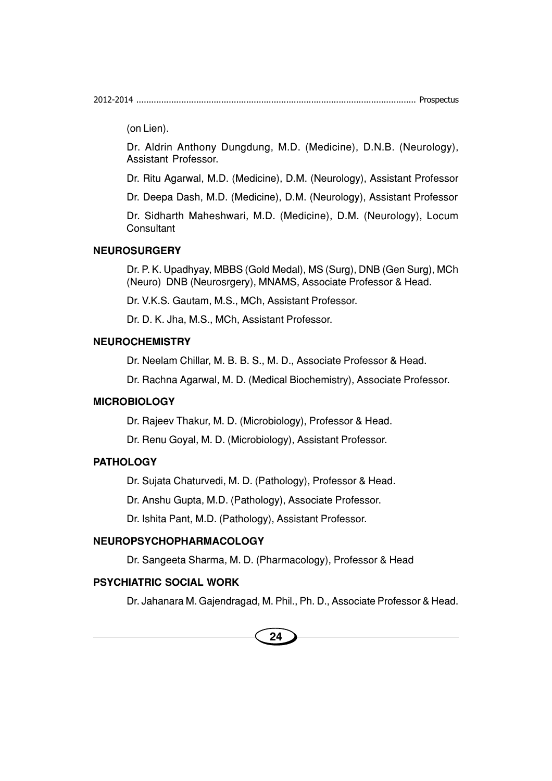2012-2014 ................................................................................................................ Prospectus

(on Lien).

Dr. Aldrin Anthony Dungdung, M.D. (Medicine), D.N.B. (Neurology), Assistant Professor.

Dr. Ritu Agarwal, M.D. (Medicine), D.M. (Neurology), Assistant Professor

Dr. Deepa Dash, M.D. (Medicine), D.M. (Neurology), Assistant Professor

Dr. Sidharth Maheshwari, M.D. (Medicine), D.M. (Neurology), Locum **Consultant** 

#### **NEUROSURGERY**

Dr. P. K. Upadhyay, MBBS (Gold Medal), MS (Surg), DNB (Gen Surg), MCh (Neuro) DNB (Neurosrgery), MNAMS, Associate Professor & Head.

Dr. V.K.S. Gautam, M.S., MCh, Assistant Professor.

Dr. D. K. Jha, M.S., MCh, Assistant Professor.

#### **NEUROCHEMISTRY**

Dr. Neelam Chillar, M. B. B. S., M. D., Associate Professor & Head.

Dr. Rachna Agarwal, M. D. (Medical Biochemistry), Associate Professor.

#### **MICROBIOLOGY**

Dr. Rajeev Thakur, M. D. (Microbiology), Professor & Head.

Dr. Renu Goyal, M. D. (Microbiology), Assistant Professor.

#### **PATHOLOGY**

Dr. Sujata Chaturvedi, M. D. (Pathology), Professor & Head.

Dr. Anshu Gupta, M.D. (Pathology), Associate Professor.

Dr. Ishita Pant, M.D. (Pathology), Assistant Professor.

#### **NEUROPSYCHOPHARMACOLOGY**

Dr. Sangeeta Sharma, M. D. (Pharmacology), Professor & Head

#### **PSYCHIATRIC SOCIAL WORK**

Dr. Jahanara M. Gajendragad, M. Phil., Ph. D., Associate Professor & Head.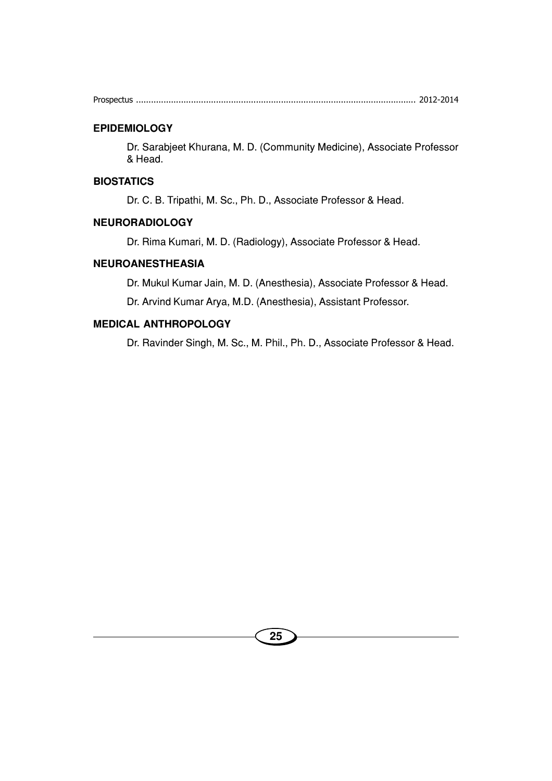#### **EPIDEMIOLOGY**

Dr. Sarabjeet Khurana, M. D. (Community Medicine), Associate Professor & Head.

#### **BIOSTATICS**

Dr. C. B. Tripathi, M. Sc., Ph. D., Associate Professor & Head.

#### **NEURORADIOLOGY**

Dr. Rima Kumari, M. D. (Radiology), Associate Professor & Head.

#### **NEUROANESTHEASIA**

Dr. Mukul Kumar Jain, M. D. (Anesthesia), Associate Professor & Head.

Dr. Arvind Kumar Arya, M.D. (Anesthesia), Assistant Professor.

#### **MEDICAL ANTHROPOLOGY**

Dr. Ravinder Singh, M. Sc., M. Phil., Ph. D., Associate Professor & Head.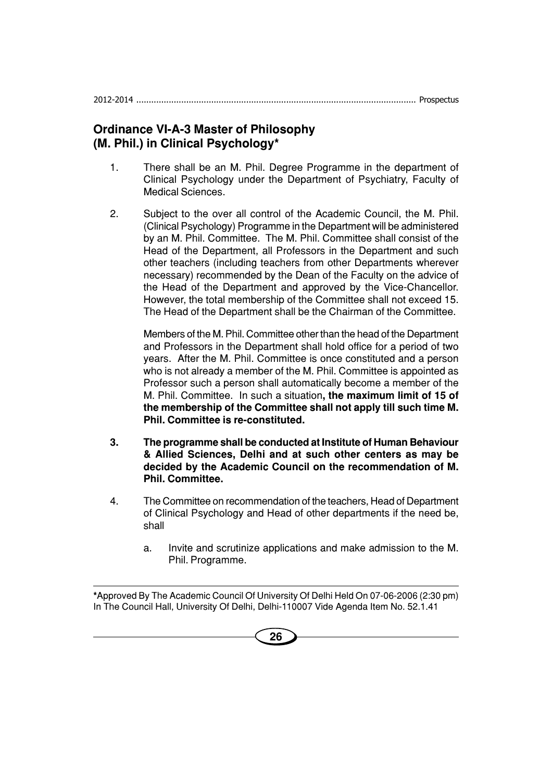# **Ordinance VI-A-3 Master of Philosophy (M. Phil.) in Clinical Psychology\***

- 1. There shall be an M. Phil. Degree Programme in the department of Clinical Psychology under the Department of Psychiatry, Faculty of Medical Sciences.
- 2. Subject to the over all control of the Academic Council, the M. Phil. (Clinical Psychology) Programme in the Department will be administered by an M. Phil. Committee. The M. Phil. Committee shall consist of the Head of the Department, all Professors in the Department and such other teachers (including teachers from other Departments wherever necessary) recommended by the Dean of the Faculty on the advice of the Head of the Department and approved by the Vice-Chancellor. However, the total membership of the Committee shall not exceed 15. The Head of the Department shall be the Chairman of the Committee.

Members of the M. Phil. Committee other than the head of the Department and Professors in the Department shall hold office for a period of two years. After the M. Phil. Committee is once constituted and a person who is not already a member of the M. Phil. Committee is appointed as Professor such a person shall automatically become a member of the M. Phil. Committee. In such a situation**, the maximum limit of 15 of the membership of the Committee shall not apply till such time M. Phil. Committee is re-constituted.**

- **3. The programme shall be conducted at Institute of Human Behaviour & Allied Sciences, Delhi and at such other centers as may be decided by the Academic Council on the recommendation of M. Phil. Committee.**
- 4. The Committee on recommendation of the teachers, Head of Department of Clinical Psychology and Head of other departments if the need be, shall
	- a. Invite and scrutinize applications and make admission to the M. Phil. Programme.

**\***Approved By The Academic Council Of University Of Delhi Held On 07-06-2006 (2:30 pm) In The Council Hall, University Of Delhi, Delhi-110007 Vide Agenda Item No. 52.1.41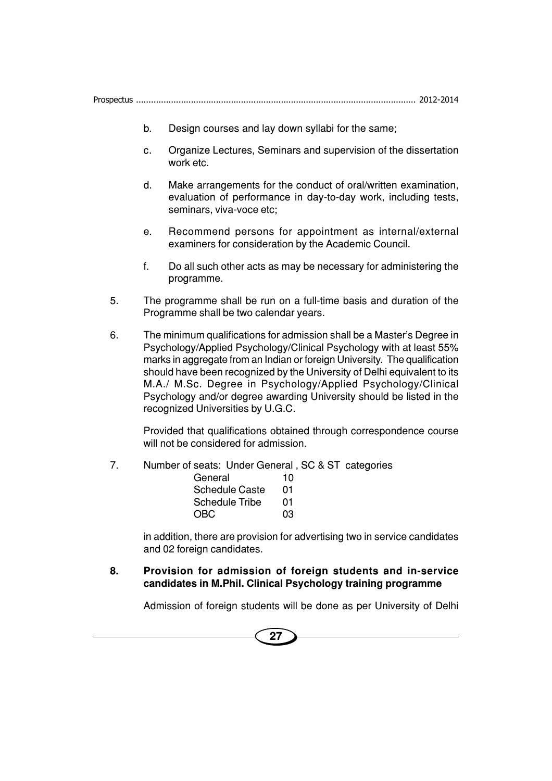- b. Design courses and lay down syllabi for the same;
- c. Organize Lectures, Seminars and supervision of the dissertation work etc.
- d. Make arrangements for the conduct of oral/written examination, evaluation of performance in day-to-day work, including tests, seminars, viva-voce etc;
- e. Recommend persons for appointment as internal/external examiners for consideration by the Academic Council.
- f. Do all such other acts as may be necessary for administering the programme.
- 5. The programme shall be run on a full-time basis and duration of the Programme shall be two calendar years.
- 6. The minimum qualifications for admission shall be a Master's Degree in Psychology/Applied Psychology/Clinical Psychology with at least 55% marks in aggregate from an Indian or foreign University. The qualification should have been recognized by the University of Delhi equivalent to its M.A./ M.Sc. Degree in Psychology/Applied Psychology/Clinical Psychology and/or degree awarding University should be listed in the recognized Universities by U.G.C.

Provided that qualifications obtained through correspondence course will not be considered for admission.

7. Number of seats: Under General , SC & ST categories

| General        | 10 |
|----------------|----|
| Schedule Caste | 01 |
| Schedule Tribe | 01 |
| OBC            | 03 |

in addition, there are provision for advertising two in service candidates and 02 foreign candidates.

**8. Provision for admission of foreign students and in-service candidates in M.Phil. Clinical Psychology training programme**

Admission of foreign students will be done as per University of Delhi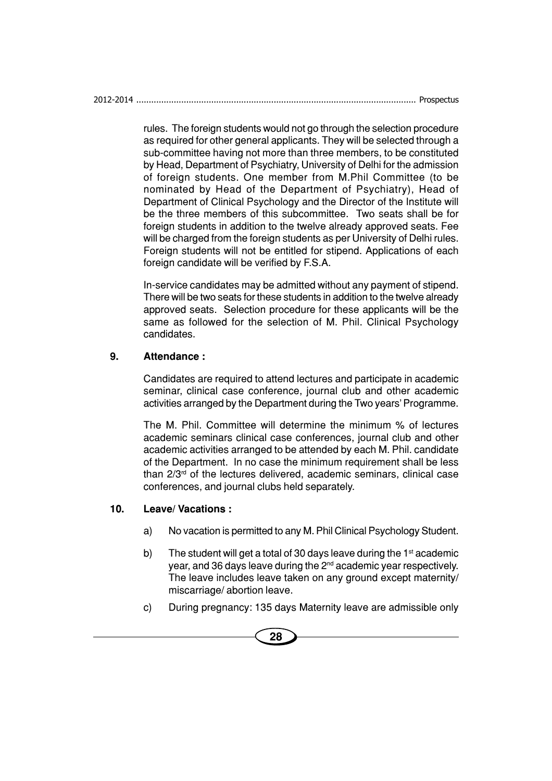| 2012-2014 |  |
|-----------|--|
|           |  |

rules. The foreign students would not go through the selection procedure as required for other general applicants. They will be selected through a sub-committee having not more than three members, to be constituted by Head, Department of Psychiatry, University of Delhi for the admission of foreign students. One member from M.Phil Committee (to be nominated by Head of the Department of Psychiatry), Head of Department of Clinical Psychology and the Director of the Institute will be the three members of this subcommittee. Two seats shall be for foreign students in addition to the twelve already approved seats. Fee will be charged from the foreign students as per University of Delhi rules. Foreign students will not be entitled for stipend. Applications of each foreign candidate will be verified by F.S.A.

In-service candidates may be admitted without any payment of stipend. There will be two seats for these students in addition to the twelve already approved seats. Selection procedure for these applicants will be the same as followed for the selection of M. Phil. Clinical Psychology candidates.

#### **9. Attendance :**

Candidates are required to attend lectures and participate in academic seminar, clinical case conference, journal club and other academic activities arranged by the Department during the Two years' Programme.

The M. Phil. Committee will determine the minimum % of lectures academic seminars clinical case conferences, journal club and other academic activities arranged to be attended by each M. Phil. candidate of the Department. In no case the minimum requirement shall be less than 2/3rd of the lectures delivered, academic seminars, clinical case conferences, and journal clubs held separately.

#### **10. Leave/ Vacations :**

- a) No vacation is permitted to any M. Phil Clinical Psychology Student.
- b) The student will get a total of 30 days leave during the  $1<sup>st</sup>$  academic year, and 36 days leave during the 2nd academic year respectively. The leave includes leave taken on any ground except maternity/ miscarriage/ abortion leave.
- c) During pregnancy: 135 days Maternity leave are admissible only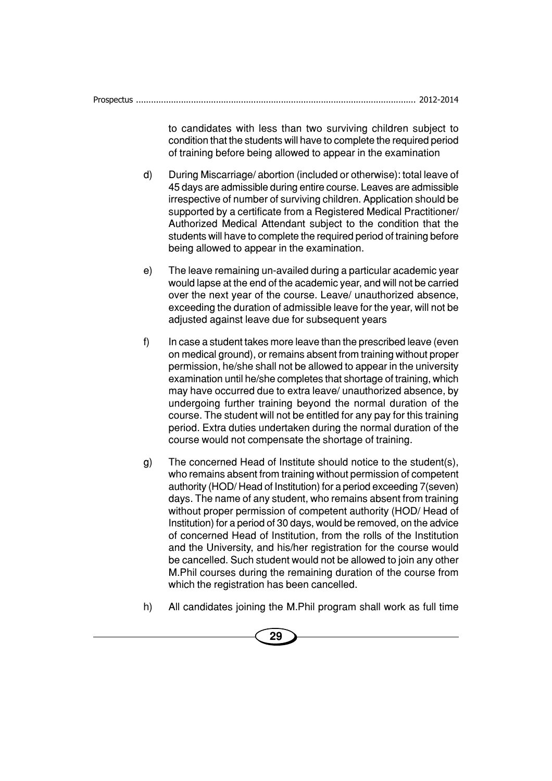to candidates with less than two surviving children subject to condition that the students will have to complete the required period of training before being allowed to appear in the examination

- d) During Miscarriage/ abortion (included or otherwise): total leave of 45 days are admissible during entire course. Leaves are admissible irrespective of number of surviving children. Application should be supported by a certificate from a Registered Medical Practitioner/ Authorized Medical Attendant subject to the condition that the students will have to complete the required period of training before being allowed to appear in the examination.
- e) The leave remaining un-availed during a particular academic year would lapse at the end of the academic year, and will not be carried over the next year of the course. Leave/ unauthorized absence, exceeding the duration of admissible leave for the year, will not be adjusted against leave due for subsequent years
- f) In case a student takes more leave than the prescribed leave (even on medical ground), or remains absent from training without proper permission, he/she shall not be allowed to appear in the university examination until he/she completes that shortage of training, which may have occurred due to extra leave/ unauthorized absence, by undergoing further training beyond the normal duration of the course. The student will not be entitled for any pay for this training period. Extra duties undertaken during the normal duration of the course would not compensate the shortage of training.
- g) The concerned Head of Institute should notice to the student(s), who remains absent from training without permission of competent authority (HOD/ Head of Institution) for a period exceeding 7(seven) days. The name of any student, who remains absent from training without proper permission of competent authority (HOD/ Head of Institution) for a period of 30 days, would be removed, on the advice of concerned Head of Institution, from the rolls of the Institution and the University, and his/her registration for the course would be cancelled. Such student would not be allowed to join any other M.Phil courses during the remaining duration of the course from which the registration has been cancelled.
- h) All candidates joining the M.Phil program shall work as full time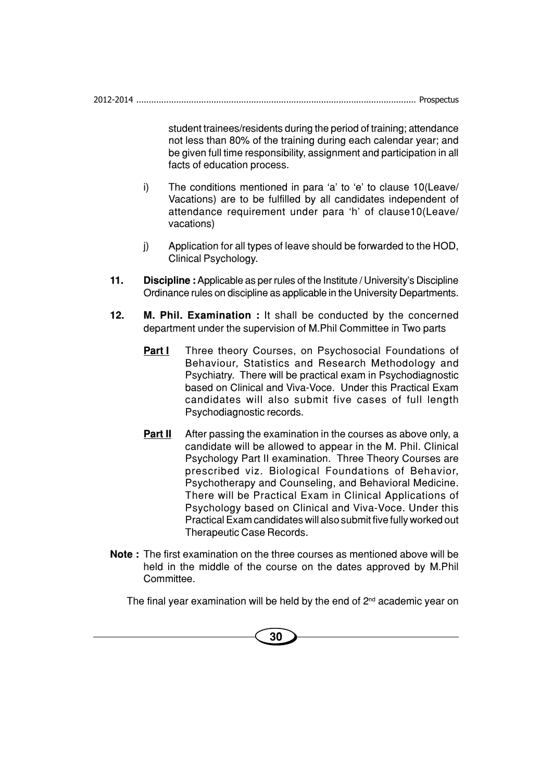2012-2014 ................................................................................................................ Prospectus

student trainees/residents during the period of training; attendance not less than 80% of the training during each calendar year; and be given full time responsibility, assignment and participation in all facts of education process.

- i) The conditions mentioned in para 'a' to 'e' to clause 10(Leave/ Vacations) are to be fulfilled by all candidates independent of attendance requirement under para 'h' of clause10(Leave/ vacations)
- j) Application for all types of leave should be forwarded to the HOD, Clinical Psychology.
- **11. Discipline :** Applicable as per rules of the Institute / University's Discipline Ordinance rules on discipline as applicable in the University Departments.
- **12. M. Phil. Examination :** It shall be conducted by the concerned department under the supervision of M.Phil Committee in Two parts
	- **Part I** Three theory Courses, on Psychosocial Foundations of Behaviour, Statistics and Research Methodology and Psychiatry. There will be practical exam in Psychodiagnostic based on Clinical and Viva-Voce. Under this Practical Exam candidates will also submit five cases of full length Psychodiagnostic records.
	- **Part II** After passing the examination in the courses as above only, a candidate will be allowed to appear in the M. Phil. Clinical Psychology Part II examination. Three Theory Courses are prescribed viz. Biological Foundations of Behavior, Psychotherapy and Counseling, and Behavioral Medicine. There will be Practical Exam in Clinical Applications of Psychology based on Clinical and Viva-Voce. Under this Practical Exam candidates will also submit five fully worked out Therapeutic Case Records.
- **Note :** The first examination on the three courses as mentioned above will be held in the middle of the course on the dates approved by M.Phil Committee.

The final year examination will be held by the end of  $2<sup>nd</sup>$  academic year on

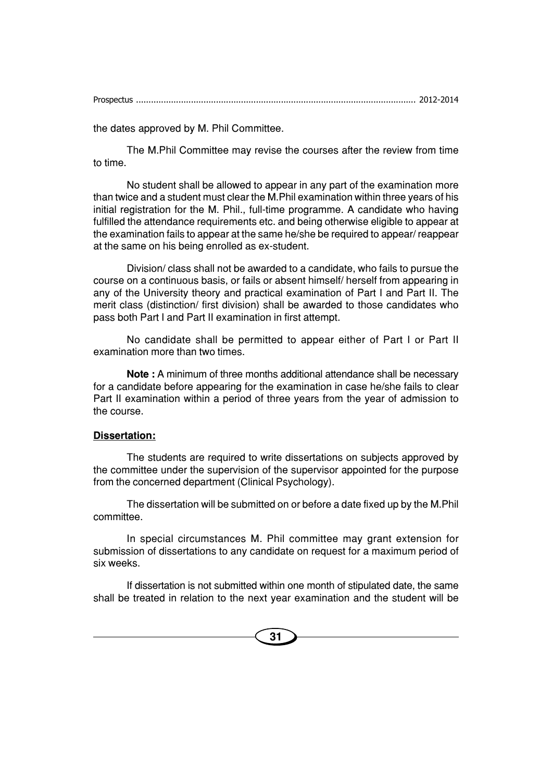the dates approved by M. Phil Committee.

The M.Phil Committee may revise the courses after the review from time to time.

No student shall be allowed to appear in any part of the examination more than twice and a student must clear the M.Phil examination within three years of his initial registration for the M. Phil., full-time programme. A candidate who having fulfilled the attendance requirements etc. and being otherwise eligible to appear at the examination fails to appear at the same he/she be required to appear/ reappear at the same on his being enrolled as ex-student.

Division/ class shall not be awarded to a candidate, who fails to pursue the course on a continuous basis, or fails or absent himself/ herself from appearing in any of the University theory and practical examination of Part I and Part II. The merit class (distinction/ first division) shall be awarded to those candidates who pass both Part I and Part II examination in first attempt.

No candidate shall be permitted to appear either of Part I or Part II examination more than two times.

**Note :** A minimum of three months additional attendance shall be necessary for a candidate before appearing for the examination in case he/she fails to clear Part II examination within a period of three years from the year of admission to the course.

#### **Dissertation:**

The students are required to write dissertations on subjects approved by the committee under the supervision of the supervisor appointed for the purpose from the concerned department (Clinical Psychology).

The dissertation will be submitted on or before a date fixed up by the M.Phil committee.

In special circumstances M. Phil committee may grant extension for submission of dissertations to any candidate on request for a maximum period of six weeks.

If dissertation is not submitted within one month of stipulated date, the same shall be treated in relation to the next year examination and the student will be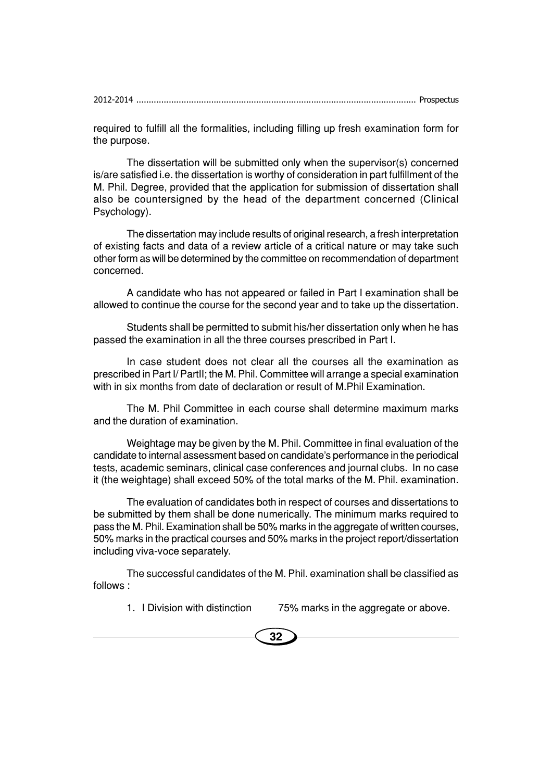required to fulfill all the formalities, including filling up fresh examination form for the purpose.

The dissertation will be submitted only when the supervisor(s) concerned is/are satisfied i.e. the dissertation is worthy of consideration in part fulfillment of the M. Phil. Degree, provided that the application for submission of dissertation shall also be countersigned by the head of the department concerned (Clinical Psychology).

The dissertation may include results of original research, a fresh interpretation of existing facts and data of a review article of a critical nature or may take such other form as will be determined by the committee on recommendation of department concerned.

A candidate who has not appeared or failed in Part I examination shall be allowed to continue the course for the second year and to take up the dissertation.

Students shall be permitted to submit his/her dissertation only when he has passed the examination in all the three courses prescribed in Part I.

In case student does not clear all the courses all the examination as prescribed in Part I/ PartII; the M. Phil. Committee will arrange a special examination with in six months from date of declaration or result of M.Phil Examination.

The M. Phil Committee in each course shall determine maximum marks and the duration of examination.

Weightage may be given by the M. Phil. Committee in final evaluation of the candidate to internal assessment based on candidate's performance in the periodical tests, academic seminars, clinical case conferences and journal clubs. In no case it (the weightage) shall exceed 50% of the total marks of the M. Phil. examination.

The evaluation of candidates both in respect of courses and dissertations to be submitted by them shall be done numerically. The minimum marks required to pass the M. Phil. Examination shall be 50% marks in the aggregate of written courses, 50% marks in the practical courses and 50% marks in the project report/dissertation including viva-voce separately.

The successful candidates of the M. Phil. examination shall be classified as follows :

1. I Division with distinction 75% marks in the aggregate or above.

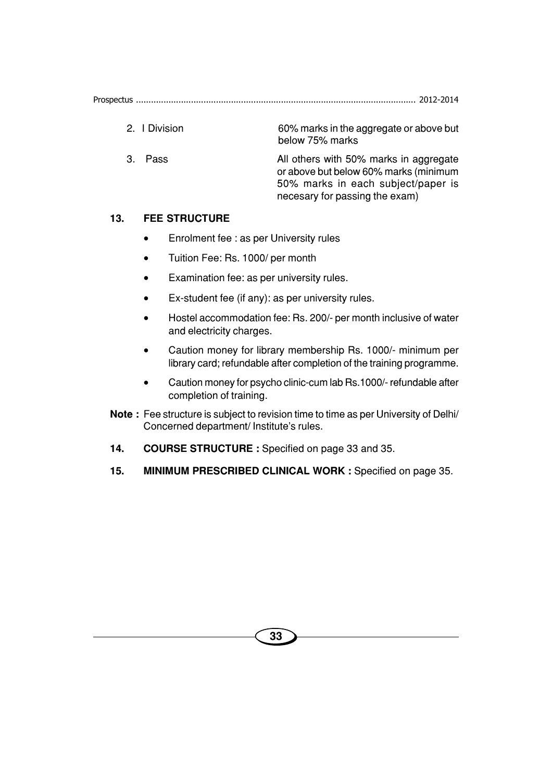- 2. I Division 60% marks in the aggregate or above but below 75% marks
- 3. Pass **All others with 50% marks in aggregate** or above but below 60% marks (minimum 50% marks in each subject/paper is necesary for passing the exam)

#### **13. FEE STRUCTURE**

- Enrolment fee : as per University rules
- Tuition Fee: Rs. 1000/ per month
- Examination fee: as per university rules.
- Ex-student fee (if any): as per university rules.
- Hostel accommodation fee: Rs. 200/- per month inclusive of water and electricity charges.
- Caution money for library membership Rs. 1000/- minimum per library card; refundable after completion of the training programme.
- Caution money for psycho clinic-cum lab Rs.1000/- refundable after completion of training.
- **Note :** Fee structure is subject to revision time to time as per University of Delhi/ Concerned department/ Institute's rules.
- **14. COURSE STRUCTURE :** Specified on page 33 and 35.
- **15. MINIMUM PRESCRIBED CLINICAL WORK :** Specified on page 35.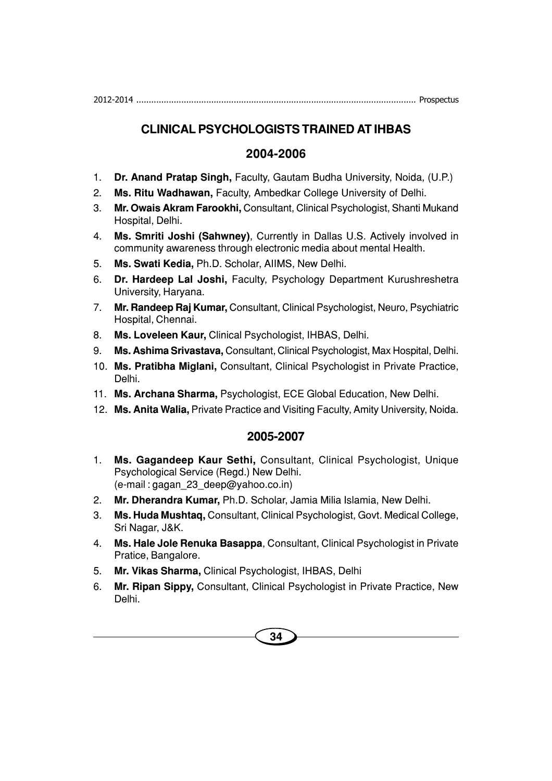2012-2014 ................................................................................................................ Prospectus

# **CLINICAL PSYCHOLOGISTS TRAINED AT IHBAS**

# **2004-2006**

- 1. **Dr. Anand Pratap Singh,** Faculty, Gautam Budha University, Noida, (U.P.)
- 2. **Ms. Ritu Wadhawan,** Faculty, Ambedkar College University of Delhi.
- 3. **Mr. Owais Akram Farookhi,** Consultant, Clinical Psychologist, Shanti Mukand Hospital, Delhi.
- 4. **Ms. Smriti Joshi (Sahwney)**, Currently in Dallas U.S. Actively involved in community awareness through electronic media about mental Health.
- 5. **Ms. Swati Kedia,** Ph.D. Scholar, AIIMS, New Delhi.
- 6. **Dr. Hardeep Lal Joshi,** Faculty, Psychology Department Kurushreshetra University, Haryana.
- 7. **Mr. Randeep Raj Kumar,** Consultant, Clinical Psychologist, Neuro, Psychiatric Hospital, Chennai.
- 8. **Ms. Loveleen Kaur,** Clinical Psychologist, IHBAS, Delhi.
- 9. **Ms. Ashima Srivastava,** Consultant, Clinical Psychologist, Max Hospital, Delhi.
- 10. **Ms. Pratibha Miglani,** Consultant, Clinical Psychologist in Private Practice, Delhi.
- 11. **Ms. Archana Sharma,** Psychologist, ECE Global Education, New Delhi.
- 12. **Ms. Anita Walia,** Private Practice and Visiting Faculty, Amity University, Noida.

- 1. **Ms. Gagandeep Kaur Sethi,** Consultant, Clinical Psychologist, Unique Psychological Service (Regd.) New Delhi. (e-mail : gagan\_23\_deep@yahoo.co.in)
- 2. **Mr. Dherandra Kumar,** Ph.D. Scholar, Jamia Milia Islamia, New Delhi.
- 3. **Ms. Huda Mushtaq,** Consultant, Clinical Psychologist, Govt. Medical College, Sri Nagar, J&K.
- 4. **Ms. Hale Jole Renuka Basappa**, Consultant, Clinical Psychologist in Private Pratice, Bangalore.
- 5. **Mr. Vikas Sharma,** Clinical Psychologist, IHBAS, Delhi
- 6. **Mr. Ripan Sippy,** Consultant, Clinical Psychologist in Private Practice, New Delhi.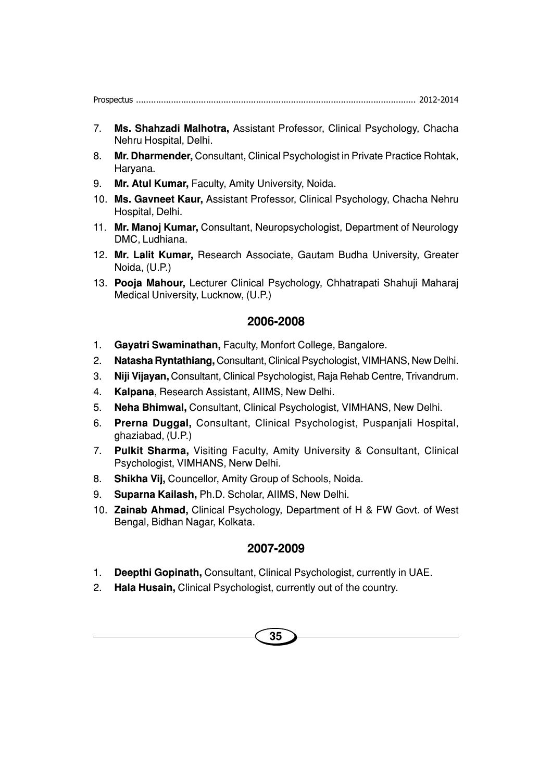- 7. **Ms. Shahzadi Malhotra,** Assistant Professor, Clinical Psychology, Chacha Nehru Hospital, Delhi.
- 8. **Mr. Dharmender,** Consultant, Clinical Psychologist in Private Practice Rohtak, Haryana.
- 9. **Mr. Atul Kumar,** Faculty, Amity University, Noida.
- 10. **Ms. Gavneet Kaur,** Assistant Professor, Clinical Psychology, Chacha Nehru Hospital, Delhi.
- 11. **Mr. Manoj Kumar,** Consultant, Neuropsychologist, Department of Neurology DMC, Ludhiana.
- 12. **Mr. Lalit Kumar,** Research Associate, Gautam Budha University, Greater Noida, (U.P.)
- 13. **Pooja Mahour,** Lecturer Clinical Psychology, Chhatrapati Shahuji Maharaj Medical University, Lucknow, (U.P.)

## **2006-2008**

- 1. **Gayatri Swaminathan,** Faculty, Monfort College, Bangalore.
- 2. **Natasha Ryntathiang,** Consultant, Clinical Psychologist, VIMHANS, New Delhi.
- 3. **Niji Vijayan,** Consultant, Clinical Psychologist, Raja Rehab Centre, Trivandrum.
- 4. **Kalpana**, Research Assistant, AIIMS, New Delhi.
- 5. **Neha Bhimwal,** Consultant, Clinical Psychologist, VIMHANS, New Delhi.
- 6. **Prerna Duggal,** Consultant, Clinical Psychologist, Puspanjali Hospital, ghaziabad, (U.P.)
- 7. **Pulkit Sharma,** Visiting Faculty, Amity University & Consultant, Clinical Psychologist, VIMHANS, Nerw Delhi.
- 8. **Shikha Vij,** Councellor, Amity Group of Schools, Noida.
- 9. **Suparna Kailash,** Ph.D. Scholar, AIIMS, New Delhi.
- 10. **Zainab Ahmad,** Clinical Psychology, Department of H & FW Govt. of West Bengal, Bidhan Nagar, Kolkata.

- 1. **Deepthi Gopinath,** Consultant, Clinical Psychologist, currently in UAE.
- 2. **Hala Husain,** Clinical Psychologist, currently out of the country.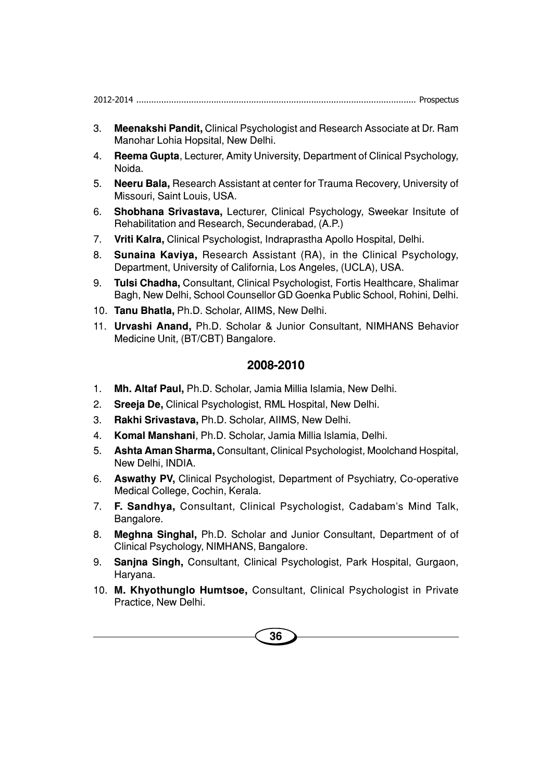|--|--|

- 3. **Meenakshi Pandit,** Clinical Psychologist and Research Associate at Dr. Ram Manohar Lohia Hopsital, New Delhi.
- 4. **Reema Gupta**, Lecturer, Amity University, Department of Clinical Psychology, Noida.
- 5. **Neeru Bala,** Research Assistant at center for Trauma Recovery, University of Missouri, Saint Louis, USA.
- 6. **Shobhana Srivastava,** Lecturer, Clinical Psychology, Sweekar Insitute of Rehabilitation and Research, Secunderabad, (A.P.)
- 7. **Vriti Kalra,** Clinical Psychologist, Indraprastha Apollo Hospital, Delhi.
- 8. **Sunaina Kaviya,** Research Assistant (RA), in the Clinical Psychology, Department, University of California, Los Angeles, (UCLA), USA.
- 9. **Tulsi Chadha,** Consultant, Clinical Psychologist, Fortis Healthcare, Shalimar Bagh, New Delhi, School Counsellor GD Goenka Public School, Rohini, Delhi.
- 10. **Tanu Bhatla,** Ph.D. Scholar, AIIMS, New Delhi.
- 11. **Urvashi Anand,** Ph.D. Scholar & Junior Consultant, NIMHANS Behavior Medicine Unit, (BT/CBT) Bangalore.

- 1. **Mh. Altaf Paul,** Ph.D. Scholar, Jamia Millia Islamia, New Delhi.
- 2. **Sreeja De,** Clinical Psychologist, RML Hospital, New Delhi.
- 3. **Rakhi Srivastava,** Ph.D. Scholar, AIIMS, New Delhi.
- 4. **Komal Manshani**, Ph.D. Scholar, Jamia Millia Islamia, Delhi.
- 5. **Ashta Aman Sharma,** Consultant, Clinical Psychologist, Moolchand Hospital, New Delhi, INDIA.
- 6. **Aswathy PV,** Clinical Psychologist, Department of Psychiatry, Co-operative Medical College, Cochin, Kerala.
- 7. **F. Sandhya,** Consultant, Clinical Psychologist, Cadabam's Mind Talk, Bangalore.
- 8. **Meghna Singhal,** Ph.D. Scholar and Junior Consultant, Department of of Clinical Psychology, NIMHANS, Bangalore.
- 9. **Sanjna Singh,** Consultant, Clinical Psychologist, Park Hospital, Gurgaon, Haryana.
- 10. **M. Khyothunglo Humtsoe,** Consultant, Clinical Psychologist in Private Practice, New Delhi.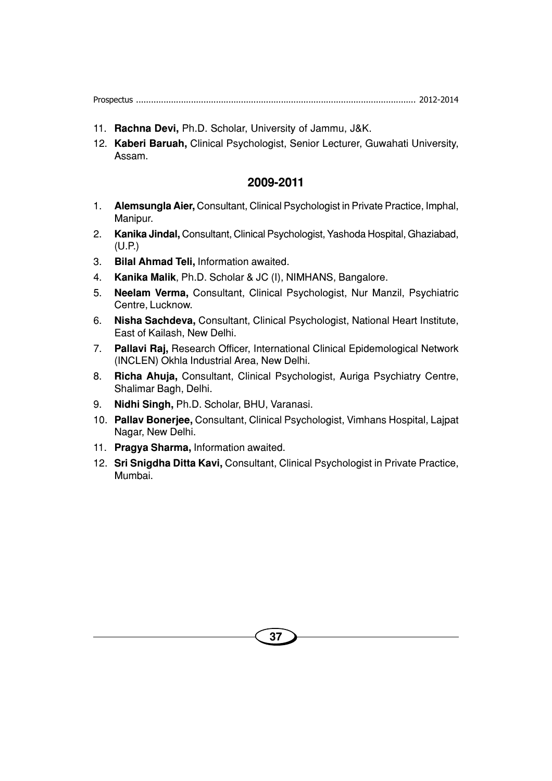- 11. **Rachna Devi,** Ph.D. Scholar, University of Jammu, J&K.
- 12. **Kaberi Baruah,** Clinical Psychologist, Senior Lecturer, Guwahati University, Assam.

- 1. **Alemsungla Aier,** Consultant, Clinical Psychologist in Private Practice, Imphal, Manipur.
- 2. **Kanika Jindal,** Consultant, Clinical Psychologist, Yashoda Hospital, Ghaziabad, (U.P.)
- 3. **Bilal Ahmad Teli,** Information awaited.
- 4. **Kanika Malik**, Ph.D. Scholar & JC (I), NIMHANS, Bangalore.
- 5. **Neelam Verma,** Consultant, Clinical Psychologist, Nur Manzil, Psychiatric Centre, Lucknow.
- 6. **Nisha Sachdeva,** Consultant, Clinical Psychologist, National Heart Institute, East of Kailash, New Delhi.
- 7. **Pallavi Raj,** Research Officer, International Clinical Epidemological Network (INCLEN) Okhla Industrial Area, New Delhi.
- 8. **Richa Ahuja,** Consultant, Clinical Psychologist, Auriga Psychiatry Centre, Shalimar Bagh, Delhi.
- 9. **Nidhi Singh,** Ph.D. Scholar, BHU, Varanasi.
- 10. **Pallav Bonerjee,** Consultant, Clinical Psychologist, Vimhans Hospital, Lajpat Nagar, New Delhi.
- 11. **Pragya Sharma,** Information awaited.
- 12. **Sri Snigdha Ditta Kavi,** Consultant, Clinical Psychologist in Private Practice, Mumbai.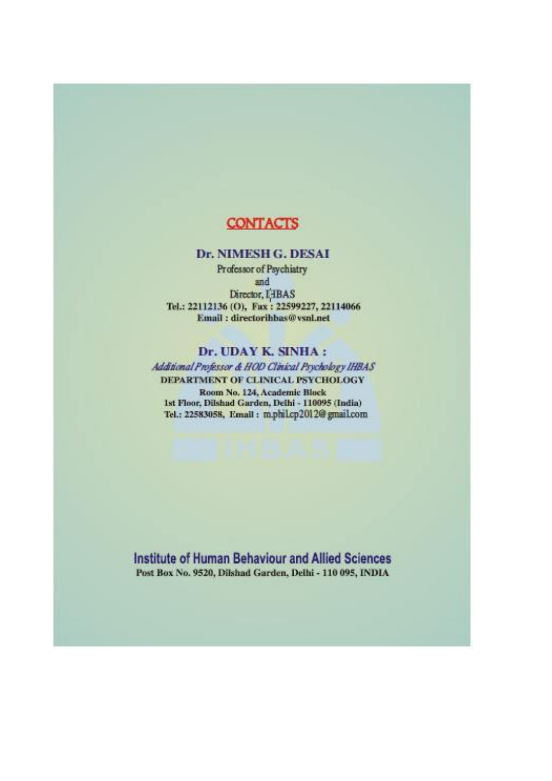# **CONTACTS**

#### Dr. NIMESH G. DESAI

Professor of Psychiatry and Director, I IBAS Tel.: 22112136 (O), Fax: 22599227, 22114066 Email: directorihbas@vsnl.net

#### Dr. UDAY K. SINHA:

Additional Professor & HOD Clinical Psychology IHBAS DEPARTMENT OF CLINICAL PSYCHOLOGY Room No. 124, Academic Block 1st Floor, Dilshad Garden, Delhi - 110095 (India) Tel.: 22583058, Email: m.phil.cp2012@gmail.com

Institute of Human Behaviour and Allied Sciences Post Box No. 9520, Dilshad Garden, Delhi - 110 095, INDIA